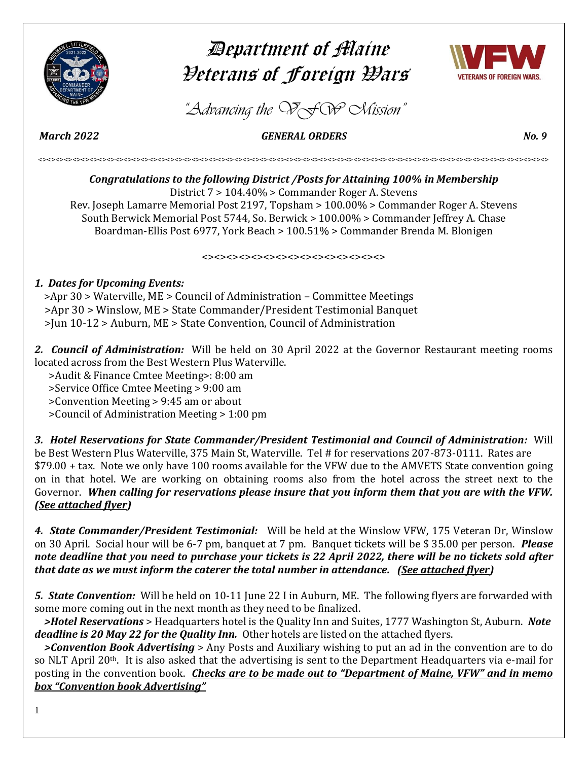

# Department of Maine Veterans of Foreign Wars



*"Advancing the VFW Mission"*

 *March 2022 GENERAL ORDERS No. 9* 

<><><><><><><><><><><><><><><><><><><><><><><><><><><><><><><><><><><><><><><><><><><><><><><><><><><><><><><><><><><><>

*Congratulations to the following District /Posts for Attaining 100% in Membership* District 7 > 104.40% > Commander Roger A. Stevens Rev. Joseph Lamarre Memorial Post 2197, Topsham > 100.00% > Commander Roger A. Stevens South Berwick Memorial Post 5744, So. Berwick > 100.00% > Commander Jeffrey A. Chase Boardman-Ellis Post 6977, York Beach > 100.51% > Commander Brenda M. Blonigen

 $\left\langle \!\! \left\langle \right. \right\rangle \!\! <$ 

## *1. Dates for Upcoming Events:*

 >Apr 30 > Waterville, ME > Council of Administration – Committee Meetings >Apr 30 > Winslow, ME > State Commander/President Testimonial Banquet >Jun 10-12 > Auburn, ME > State Convention, Council of Administration

*2. Council of Administration:* Will be held on 30 April 2022 at the Governor Restaurant meeting rooms located across from the Best Western Plus Waterville.

>Audit & Finance Cmtee Meeting>: 8:00 am

>Service Office Cmtee Meeting > 9:00 am

>Convention Meeting > 9:45 am or about

>Council of Administration Meeting > 1:00 pm

*3. Hotel Reservations for State Commander/President Testimonial and Council of Administration:* Will be Best Western Plus Waterville, 375 Main St, Waterville. Tel # for reservations 207-873-0111. Rates are \$79.00 + tax. Note we only have 100 rooms available for the VFW due to the AMVETS State convention going on in that hotel. We are working on obtaining rooms also from the hotel across the street next to the Governor. *When calling for reservations please insure that you inform them that you are with the VFW. (See attached flyer)*

*4. State Commander/President Testimonial:* Will be held at the Winslow VFW, 175 Veteran Dr, Winslow on 30 April. Social hour will be 6-7 pm, banquet at 7 pm. Banquet tickets will be \$ 35.00 per person. *Please note deadline that you need to purchase your tickets is 22 April 2022, there will be no tickets sold after that date as we must inform the caterer the total number in attendance. (See attached flyer)*

*5. State Convention:* Will be held on 10-11 June 22 I in Auburn, ME. The following flyers are forwarded with some more coming out in the next month as they need to be finalized.

 *>Hotel Reservations* > Headquarters hotel is the Quality Inn and Suites, 1777 Washington St, Auburn. *Note deadline is 20 May 22 for the Quality Inn.* Other hotels are listed on the attached flyers.

 *>Convention Book Advertising* > Any Posts and Auxiliary wishing to put an ad in the convention are to do so NLT April 20<sup>th</sup>. It is also asked that the advertising is sent to the Department Headquarters via e-mail for posting in the convention book. *Checks are to be made out to "Department of Maine, VFW" and in memo box "Convention book Advertising"*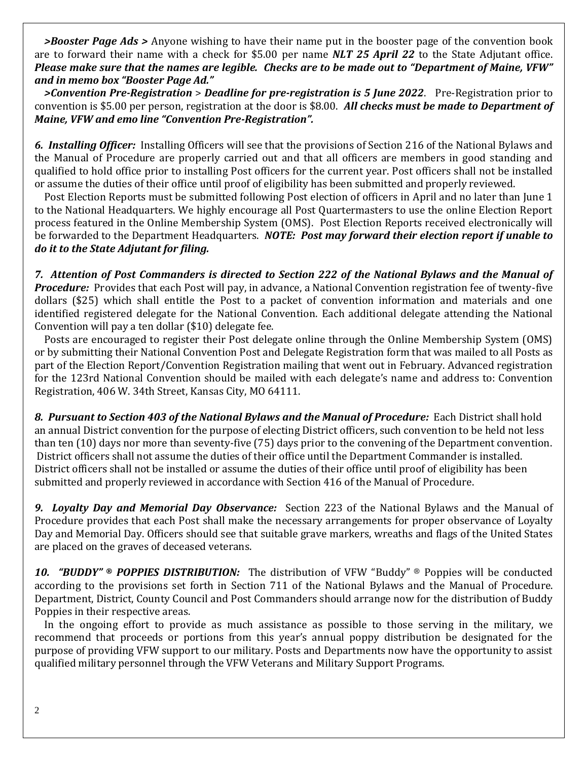*>Booster Page Ads >* Anyone wishing to have their name put in the booster page of the convention book are to forward their name with a check for \$5.00 per name *NLT 25 April 22* to the State Adjutant office. *Please make sure that the names are legible. Checks are to be made out to "Department of Maine, VFW" and in memo box "Booster Page Ad."* 

 *>Convention Pre-Registration* > *Deadline for pre-registration is 5 June 2022*. Pre-Registration prior to convention is \$5.00 per person, registration at the door is \$8.00. *All checks must be made to Department of Maine, VFW and emo line "Convention Pre-Registration".*

*6. Installing Officer:* Installing Officers will see that the provisions of Section 216 of the National Bylaws and the Manual of Procedure are properly carried out and that all officers are members in good standing and qualified to hold office prior to installing Post officers for the current year. Post officers shall not be installed or assume the duties of their office until proof of eligibility has been submitted and properly reviewed.

 Post Election Reports must be submitted following Post election of officers in April and no later than June 1 to the National Headquarters. We highly encourage all Post Quartermasters to use the online Election Report process featured in the Online Membership System (OMS). Post Election Reports received electronically will be forwarded to the Department Headquarters. *NOTE: Post may forward their election report if unable to do it to the State Adjutant for filing.*

*7. Attention of Post Commanders is directed to Section 222 of the National Bylaws and the Manual of Procedure:* Provides that each Post will pay, in advance, a National Convention registration fee of twenty-five dollars (\$25) which shall entitle the Post to a packet of convention information and materials and one identified registered delegate for the National Convention. Each additional delegate attending the National Convention will pay a ten dollar (\$10) delegate fee.

 Posts are encouraged to register their Post delegate online through the Online Membership System (OMS) or by submitting their National Convention Post and Delegate Registration form that was mailed to all Posts as part of the Election Report/Convention Registration mailing that went out in February. Advanced registration for the 123rd National Convention should be mailed with each delegate's name and address to: Convention Registration, 406 W. 34th Street, Kansas City, MO 64111.

*8. Pursuant to Section 403 of the National Bylaws and the Manual of Procedure:* Each District shall hold an annual District convention for the purpose of electing District officers, such convention to be held not less than ten (10) days nor more than seventy-five (75) days prior to the convening of the Department convention. District officers shall not assume the duties of their office until the Department Commander is installed. District officers shall not be installed or assume the duties of their office until proof of eligibility has been submitted and properly reviewed in accordance with Section 416 of the Manual of Procedure.

*9. Loyalty Day and Memorial Day Observance:* Section 223 of the National Bylaws and the Manual of Procedure provides that each Post shall make the necessary arrangements for proper observance of Loyalty Day and Memorial Day. Officers should see that suitable grave markers, wreaths and flags of the United States are placed on the graves of deceased veterans.

*10. "BUDDY" ® POPPIES DISTRIBUTION:* The distribution of VFW "Buddy" ® Poppies will be conducted according to the provisions set forth in Section 711 of the National Bylaws and the Manual of Procedure. Department, District, County Council and Post Commanders should arrange now for the distribution of Buddy Poppies in their respective areas.

 In the ongoing effort to provide as much assistance as possible to those serving in the military, we recommend that proceeds or portions from this year's annual poppy distribution be designated for the purpose of providing VFW support to our military. Posts and Departments now have the opportunity to assist qualified military personnel through the VFW Veterans and Military Support Programs.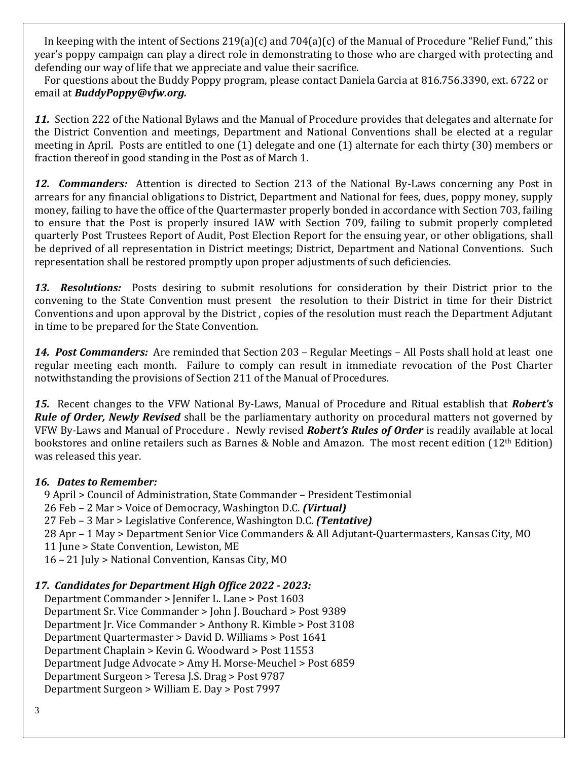In keeping with the intent of Sections 219(a)(c) and 704(a)(c) of the Manual of Procedure "Relief Fund," this year's poppy campaign can play a direct role in demonstrating to those who are charged with protecting and defending our way of life that we appreciate and value their sacrifice.

 For questions about the Buddy Poppy program, please contact Daniela Garcia at 816.756.3390, ext. 6722 or email at *[BuddyPoppy@vfw.org.](file:///C:/Users/Andy/AppData/Local/Microsoft/Windows/INetCache/Content.Outlook/NIRSX7H1/BuddyPoppy@vfw.org)*

*11.* Section 222 of the National Bylaws and the Manual of Procedure provides that delegates and alternate for the District Convention and meetings, Department and National Conventions shall be elected at a regular meeting in April. Posts are entitled to one (1) delegate and one (1) alternate for each thirty (30) members or fraction thereof in good standing in the Post as of March 1.

*12. Commanders:* Attention is directed to Section 213 of the National By-Laws concerning any Post in arrears for any financial obligations to District, Department and National for fees, dues, poppy money, supply money, failing to have the office of the Quartermaster properly bonded in accordance with Section 703, failing to ensure that the Post is properly insured IAW with Section 709, failing to submit properly completed quarterly Post Trustees Report of Audit, Post Election Report for the ensuing year, or other obligations, shall be deprived of all representation in District meetings; District, Department and National Conventions. Such representation shall be restored promptly upon proper adjustments of such deficiencies.

*13. Resolutions:* Posts desiring to submit resolutions for consideration by their District prior to the convening to the State Convention must present the resolution to their District in time for their District Conventions and upon approval by the District , copies of the resolution must reach the Department Adjutant in time to be prepared for the State Convention.

*14. Post Commanders:* Are reminded that Section 203 – Regular Meetings – All Posts shall hold at least one regular meeting each month. Failure to comply can result in immediate revocation of the Post Charter notwithstanding the provisions of Section 211 of the Manual of Procedures.

*15.* Recent changes to the VFW National By-Laws, Manual of Procedure and Ritual establish that *Robert's Rule of Order, Newly Revised* shall be the parliamentary authority on procedural matters not governed by VFW By-Laws and Manual of Procedure . Newly revised *Robert's Rules of Order* is readily available at local bookstores and online retailers such as Barnes & Noble and Amazon. The most recent edition (12th Edition) was released this year.

## *16. Dates to Remember:*

9 April > Council of Administration, State Commander – President Testimonial

26 Feb – 2 Mar > Voice of Democracy, Washington D.C. *(Virtual)* 

27 Feb – 3 Mar > Legislative Conference, Washington D.C. *(Tentative)*

28 Apr – 1 May > Department Senior Vice Commanders & All Adjutant-Quartermasters, Kansas City, MO

11 June > State Convention, Lewiston, ME

16 – 21 July > National Convention, Kansas City, MO

## *17. Candidates for Department High Office 2022 - 2023:*

 Department Commander > Jennifer L. Lane > Post 1603 Department Sr. Vice Commander > John J. Bouchard > Post 9389 Department Jr. Vice Commander > Anthony R. Kimble > Post 3108 Department Quartermaster > David D. Williams > Post 1641 Department Chaplain > Kevin G. Woodward > Post 11553 Department Judge Advocate > Amy H. Morse-Meuchel > Post 6859 Department Surgeon > Teresa J.S. Drag > Post 9787 Department Surgeon > William E. Day > Post 7997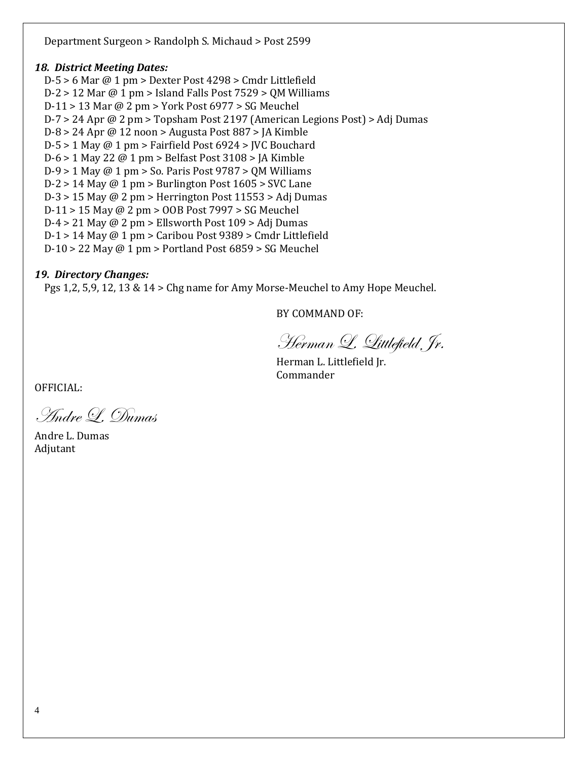Department Surgeon > Randolph S. Michaud > Post 2599

## *18. District Meeting Dates:*

 D-5 > 6 Mar @ 1 pm > Dexter Post 4298 > Cmdr Littlefield D-2 > 12 Mar @ 1 pm > Island Falls Post 7529 > QM Williams D-11 > 13 Mar @ 2 pm > York Post 6977 > SG Meuchel D-7 > 24 Apr @ 2 pm > Topsham Post 2197 (American Legions Post) > Adj Dumas D-8 > 24 Apr @ 12 noon > Augusta Post 887 > JA Kimble  $D-5 > 1$  May @ 1 pm > Fairfield Post 6924 > JVC Bouchard D-6 > 1 May 22 @ 1 pm > Belfast Post 3108 > JA Kimble D-9 > 1 May @ 1 pm > So. Paris Post 9787 > QM Williams  $D-2 > 14$  May @ 1 pm > Burlington Post 1605 > SVC Lane D-3 > 15 May @ 2 pm > Herrington Post 11553 > Adj Dumas D-11 > 15 May @ 2 pm > OOB Post 7997 > SG Meuchel D-4 > 21 May  $\omega$  2 pm > Ellsworth Post 109 > Adj Dumas D-1 > 14 May @ 1 pm > Caribou Post 9389 > Cmdr Littlefield D-10 > 22 May  $@1$  pm > Portland Post 6859 > SG Meuchel

## *19. Directory Changes:*

Pgs 1,2, 5,9, 12, 13 & 14 > Chg name for Amy Morse-Meuchel to Amy Hope Meuchel.

BY COMMAND OF:

Herman L. Littlefield, Jr.

Herman L. Littlefield Jr. Commander

OFFICIAL:

Andre L. Dumas

Andre L. Dumas Adjutant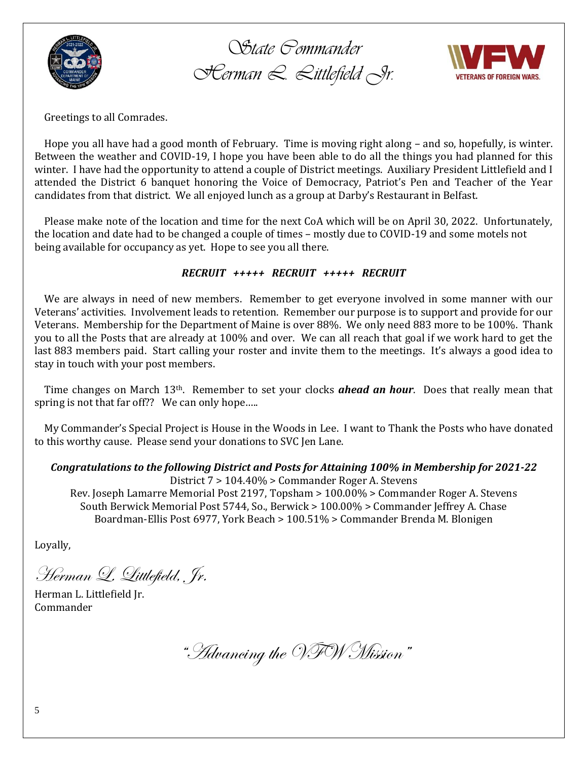

*State Commander Herman L. Littlefield Jr.*



Greetings to all Comrades.

 Hope you all have had a good month of February. Time is moving right along – and so, hopefully, is winter. Between the weather and COVID-19, I hope you have been able to do all the things you had planned for this winter. I have had the opportunity to attend a couple of District meetings. Auxiliary President Littlefield and I attended the District 6 banquet honoring the Voice of Democracy, Patriot's Pen and Teacher of the Year candidates from that district. We all enjoyed lunch as a group at Darby's Restaurant in Belfast.

 Please make note of the location and time for the next CoA which will be on April 30, 2022. Unfortunately, the location and date had to be changed a couple of times – mostly due to COVID-19 and some motels not being available for occupancy as yet. Hope to see you all there.

## *RECRUIT +++++ RECRUIT +++++ RECRUIT*

 We are always in need of new members. Remember to get everyone involved in some manner with our Veterans' activities. Involvement leads to retention. Remember our purpose is to support and provide for our Veterans. Membership for the Department of Maine is over 88%. We only need 883 more to be 100%. Thank you to all the Posts that are already at 100% and over. We can all reach that goal if we work hard to get the last 883 members paid. Start calling your roster and invite them to the meetings. It's always a good idea to stay in touch with your post members.

 Time changes on March 13th. Remember to set your clocks *ahead an hour*. Does that really mean that spring is not that far off?? We can only hope…..

 My Commander's Special Project is House in the Woods in Lee. I want to Thank the Posts who have donated to this worthy cause. Please send your donations to SVC Jen Lane.

## *Congratulations to the following District and Posts for Attaining 100% in Membership for 2021-22*

District 7 > 104.40% > Commander Roger A. Stevens Rev. Joseph Lamarre Memorial Post 2197, Topsham > 100.00% > Commander Roger A. Stevens South Berwick Memorial Post 5744, So., Berwick > 100.00% > Commander Jeffrey A. Chase Boardman-Ellis Post 6977, York Beach > 100.51% > Commander Brenda M. Blonigen

Loyally,

Herman L. Littlefield, Jr.

Herman L. Littlefield Jr. Commander

"Advancing the VFW Mission"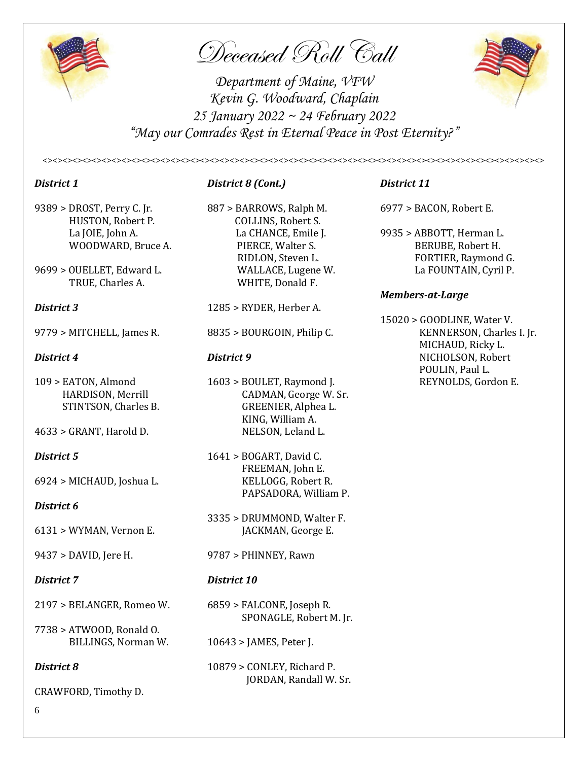

Deceased Roll Call

*Department of Maine, VFW Kevin G. Woodward, Chaplain 25 January 2022 ~ 24 February 2022 "May our Comrades Rest in Eternal Peace in Post Eternity?"*

*<><><><><><><><><><><><><><><><><><><><><><><><><><><><><><><><><><><><><><><><><><><><><><><><><><><>*



- 9389 > DROST, Perry C. Jr. 887 > BARROWS, Ralph M. 6977 > BACON, Robert E. HUSTON, Robert P. COLLINS, Robert S.
- 

- 
- 4633 > GRANT, Harold D. NELSON, Leland L.

6924 > MICHAUD, Joshua L. KELLOGG, Robert R.

## *District 6*

- 
- 

- 2197 > BELANGER, Romeo W. 6859 > FALCONE, Joseph R.
- 7738 > ATWOOD, Ronald O.

CRAWFORD, Timothy D.

## *District 1 District 8 (Cont.) District 11*

TRUE, Charles A. WHITE, Donald F.

- *District 3* 1285 > RYDER, Herber A.
	-

 HARDISON, Merrill CADMAN, George W. Sr. STINTSON, Charles B. GREENIER, Alphea L. KING, William A.

*District 5* 1641 > BOGART, David C. FREEMAN, John E. PAPSADORA, William P.

3335 > DRUMMOND, Walter F. 6131 > WYMAN, Vernon E. JACKMAN, George E.

9437 > DAVID, Jere H. 9787 > PHINNEY, Rawn

## *District 7 District 10*

SPONAGLE, Robert M. Jr.

- BILLINGS, Norman W. 10643 > JAMES, Peter J.
- **District 8** 10879 > CONLEY, Richard P. JORDAN, Randall W. Sr.

 La JOIE, John A. La CHANCE, Emile J. 9935 > ABBOTT, Herman L. WOODWARD, Bruce A. PIERCE, Walter S. BERUBE, Robert H. RIDLON, Steven L. FORTIER, Raymond G. 9699 > OUELLET, Edward L. WALLACE, Lugene W. La FOUNTAIN, Cyril P.

## *Members-at-Large*

15020 > GOODLINE, Water V. 9779 > MITCHELL, James R. 8835 > BOURGOIN, Philip C. KENNERSON, Charles I. Jr. MICHAUD, Ricky L. *District 4* **District 9 District 9 NICHOLSON, Robert**  POULIN, Paul L. 109 > EATON, Almond 1603 > BOULET, Raymond J. REYNOLDS, Gordon E.

6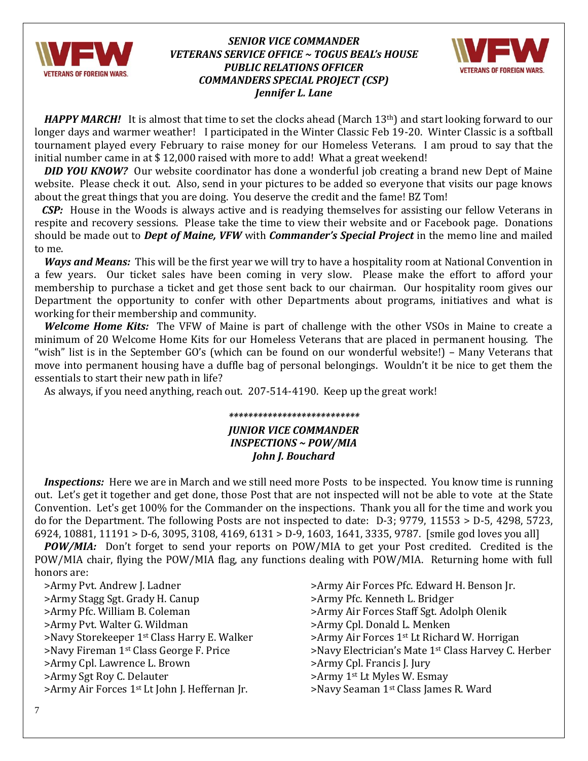

## *SENIOR VICE COMMANDER VETERANS SERVICE OFFICE ~ TOGUS BEAL's HOUSE PUBLIC RELATIONS OFFICER COMMANDERS SPECIAL PROJECT (CSP) Jennifer L. Lane*



*HAPPY MARCH!* It is almost that time to set the clocks ahead (March 13<sup>th</sup>) and start looking forward to our longer days and warmer weather! I participated in the Winter Classic Feb 19-20. Winter Classic is a softball tournament played every February to raise money for our Homeless Veterans. I am proud to say that the initial number came in at \$ 12,000 raised with more to add! What a great weekend!

*DID YOU KNOW?* Our website coordinator has done a wonderful job creating a brand new Dept of Maine website. Please check it out. Also, send in your pictures to be added so everyone that visits our page knows about the great things that you are doing. You deserve the credit and the fame! BZ Tom!

*CSP:* House in the Woods is always active and is readying themselves for assisting our fellow Veterans in respite and recovery sessions. Please take the time to view their website and or Facebook page. Donations should be made out to *Dept of Maine, VFW* with *Commander's Special Project* in the memo line and mailed to me.

*Ways and Means:* This will be the first year we will try to have a hospitality room at National Convention in a few years. Our ticket sales have been coming in very slow. Please make the effort to afford your membership to purchase a ticket and get those sent back to our chairman. Our hospitality room gives our Department the opportunity to confer with other Departments about programs, initiatives and what is working for their membership and community.

*Welcome Home Kits:* The VFW of Maine is part of challenge with the other VSOs in Maine to create a minimum of 20 Welcome Home Kits for our Homeless Veterans that are placed in permanent housing. The "wish" list is in the September GO's (which can be found on our wonderful website!) – Many Veterans that move into permanent housing have a duffle bag of personal belongings. Wouldn't it be nice to get them the essentials to start their new path in life?

As always, if you need anything, reach out. 207-514-4190. Keep up the great work!

## *\*\*\*\*\*\*\*\*\*\*\*\*\*\*\*\*\*\*\*\*\*\*\*\*\*\*\* JUNIOR VICE COMMANDER INSPECTIONS ~ POW/MIA John J. Bouchard*

*Inspections:* Here we are in March and we still need more Posts to be inspected. You know time is running out. Let's get it together and get done, those Post that are not inspected will not be able to vote at the State Convention. Let's get 100% for the Commander on the inspections. Thank you all for the time and work you do for the Department. The following Posts are not inspected to date: D-3; 9779, 11553 > D-5, 4298, 5723, 6924, 10881, 11191 > D-6, 3095, 3108, 4169, 6131 > D-9, 1603, 1641, 3335, 9787. [smile god loves you all]

 *POW/MIA:* Don't forget to send your reports on POW/MIA to get your Post credited. Credited is the POW/MIA chair, flying the POW/MIA flag, any functions dealing with POW/MIA. Returning home with full honors are:

>Army Pvt. Andrew J. Ladner > >Army Air Forces Pfc. Edward H. Benson Jr. >Army Stagg Sgt. Grady H. Canup >Army Pfc. Kenneth L. Bridger >Army Pfc. William B. Coleman >Army Air Forces Staff Sgt. Adolph Olenik >Army Pvt. Walter G. Wildman >Army Cpl. Donald L. Menken >Navy Storekeeper 1<sup>st</sup> Class Harry E. Walker >Army Air Forces 1<sup>st</sup> Lt Richard W. Horrigan >Army Cpl. Lawrence L. Brown >Army Cpl. Francis J. Jury >Army Sgt Roy C. Delauter >Army 1st Lt Myles W. Esmay >Army Air Forces 1<sup>st</sup> Lt John J. Heffernan Jr. >Navy Seaman 1<sup>st</sup> Class James R. Ward

>Navy Fireman 1st Class George F. Price >Navy Electrician's Mate 1st Class Harvey C. Herber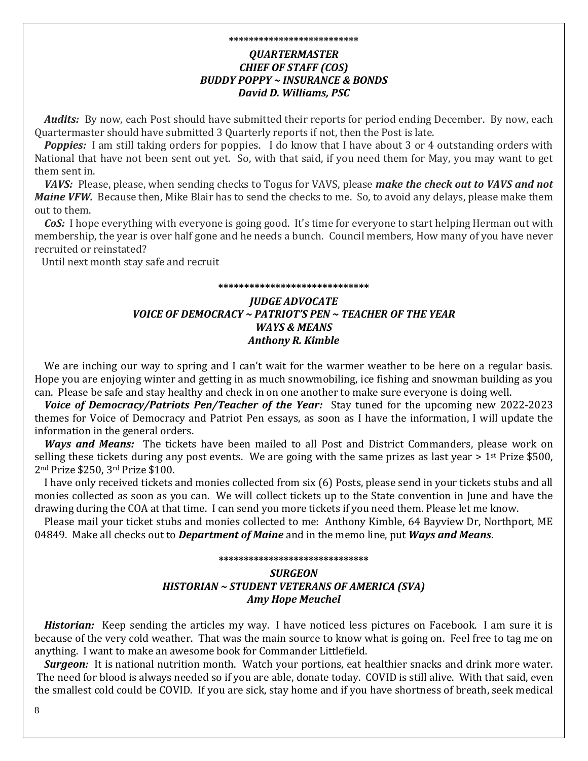## **\*\*\*\*\*\*\*\*\*\*\*\*\*\*\*\*\*\*\*\*\*\*\*\*\*\*** *QUARTERMASTER CHIEF OF STAFF (COS) BUDDY POPPY ~ INSURANCE & BONDS David D. Williams, PSC*

 *Audits:* By now, each Post should have submitted their reports for period ending December. By now, each Quartermaster should have submitted 3 Quarterly reports if not, then the Post is late.

**Poppies:** I am still taking orders for poppies. I do know that I have about 3 or 4 outstanding orders with National that have not been sent out yet. So, with that said, if you need them for May, you may want to get them sent in.

 *VAVS:* Please, please, when sending checks to Togus for VAVS, please *make the check out to VAVS and not Maine VFW.* Because then, Mike Blair has to send the checks to me. So, to avoid any delays, please make them out to them.

 *CoS:* I hope everything with everyone is going good. It's time for everyone to start helping Herman out with membership, the year is over half gone and he needs a bunch. Council members, How many of you have never recruited or reinstated?

Until next month stay safe and recruit

## **\*\*\*\*\*\*\*\*\*\*\*\*\*\*\*\*\*\*\*\*\*\*\*\*\*\*\*\*\*** *JUDGE ADVOCATE VOICE OF DEMOCRACY ~ PATRIOT'S PEN ~ TEACHER OF THE YEAR WAYS & MEANS Anthony R. Kimble*

We are inching our way to spring and I can't wait for the warmer weather to be here on a regular basis. Hope you are enjoying winter and getting in as much snowmobiling, ice fishing and snowman building as you can. Please be safe and stay healthy and check in on one another to make sure everyone is doing well.

 *Voice of Democracy/Patriots Pen/Teacher of the Year:* Stay tuned for the upcoming new 2022-2023 themes for Voice of Democracy and Patriot Pen essays, as soon as I have the information, I will update the information in the general orders.

 *Ways and Means:* The tickets have been mailed to all Post and District Commanders, please work on selling these tickets during any post events. We are going with the same prizes as last year > 1<sup>st</sup> Prize \$500, 2nd Prize \$250, 3rd Prize \$100.

 I have only received tickets and monies collected from six (6) Posts, please send in your tickets stubs and all monies collected as soon as you can. We will collect tickets up to the State convention in June and have the drawing during the COA at that time. I can send you more tickets if you need them. Please let me know.

 Please mail your ticket stubs and monies collected to me: Anthony Kimble, 64 Bayview Dr, Northport, ME 04849. Make all checks out to *Department of Maine* and in the memo line, put *Ways and Means*.

## **\*\*\*\*\*\*\*\*\*\*\*\*\*\*\*\*\*\*\*\*\*\*\*\*\*\*\*\*\*\*** *SURGEON HISTORIAN ~ STUDENT VETERANS OF AMERICA (SVA) Amy Hope Meuchel*

*Historian:* Keep sending the articles my way. I have noticed less pictures on Facebook. I am sure it is because of the very cold weather. That was the main source to know what is going on. Feel free to tag me on anything. I want to make an awesome book for Commander Littlefield.

 *Surgeon:* It is national nutrition month. Watch your portions, eat healthier snacks and drink more water. The need for blood is always needed so if you are able, donate today. COVID is still alive. With that said, even the smallest cold could be COVID. If you are sick, stay home and if you have shortness of breath, seek medical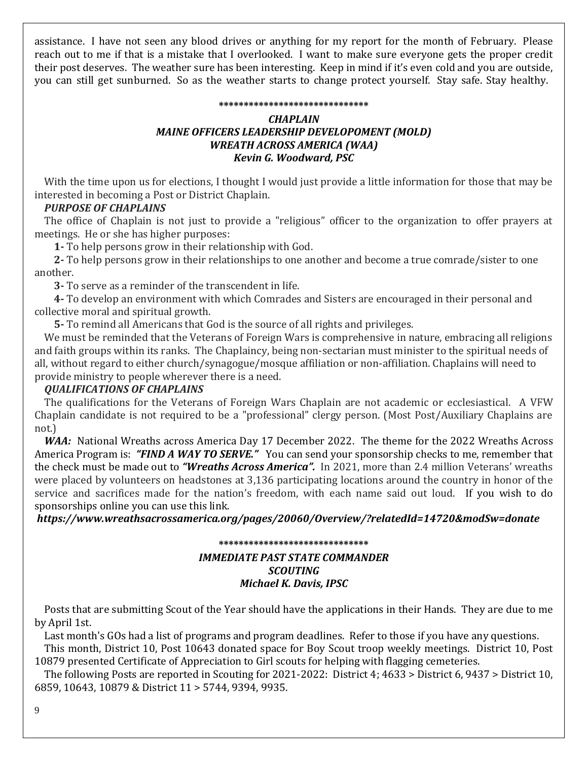assistance. I have not seen any blood drives or anything for my report for the month of February. Please reach out to me if that is a mistake that I overlooked. I want to make sure everyone gets the proper credit their post deserves. The weather sure has been interesting. Keep in mind if it's even cold and you are outside, you can still get sunburned. So as the weather starts to change protect yourself. Stay safe. Stay healthy.

#### **\*\*\*\*\*\*\*\*\*\*\*\*\*\*\*\*\*\*\*\*\*\*\*\*\*\*\*\*\*\***

## *CHAPLAIN MAINE OFFICERS LEADERSHIP DEVELOPOMENT (MOLD) WREATH ACROSS AMERICA (WAA) Kevin G. Woodward, PSC*

With the time upon us for elections, I thought I would just provide a little information for those that may be interested in becoming a Post or District Chaplain.

## *PURPOSE OF CHAPLAINS*

 The office of Chaplain is not just to provide a "religious" officer to the organization to offer prayers at meetings. He or she has higher purposes:

 **1-** To help persons grow in their relationship with God.

 **2-** To help persons grow in their relationships to one another and become a true comrade/sister to one another.

 **3-** To serve as a reminder of the transcendent in life.

 **4-** To develop an environment with which Comrades and Sisters are encouraged in their personal and collective moral and spiritual growth.

 **5-** To remind all Americans that God is the source of all rights and privileges.

 We must be reminded that the Veterans of Foreign Wars is comprehensive in nature, embracing all religions and faith groups within its ranks. The Chaplaincy, being non-sectarian must minister to the spiritual needs of all, without regard to either church/synagogue/mosque affiliation or non-affiliation. Chaplains will need to provide ministry to people wherever there is a need.

## *QUALIFICATIONS OF CHAPLAINS*

 The qualifications for the Veterans of Foreign Wars Chaplain are not academic or ecclesiastical. A VFW Chaplain candidate is not required to be a "professional" clergy person. (Most Post/Auxiliary Chaplains are not.)

WAA: National Wreaths across America Day 17 December 2022. The theme for the 2022 Wreaths Across America Program is: *"FIND A WAY TO SERVE."* You can send your sponsorship checks to me, remember that the check must be made out to *"Wreaths Across America".* In 2021, more than 2.4 million Veterans' wreaths were placed by volunteers on headstones at 3,136 participating locations around the country in honor of the service and sacrifices made for the nation's freedom, with each name said out loud. If you wish to do sponsorships online you can use this link.

*https://www.wreathsacrossamerica.org/pages/20060/Overview/?relatedId=14720&modSw=donate*

## **\*\*\*\*\*\*\*\*\*\*\*\*\*\*\*\*\*\*\*\*\*\*\*\*\*\*\*\*\*\*** *IMMEDIATE PAST STATE COMMANDER SCOUTING Michael K. Davis, IPSC*

 Posts that are submitting Scout of the Year should have the applications in their Hands. They are due to me by April 1st.

Last month's GOs had a list of programs and program deadlines. Refer to those if you have any questions. This month, District 10, Post 10643 donated space for Boy Scout troop weekly meetings. District 10, Post

10879 presented Certificate of Appreciation to Girl scouts for helping with flagging cemeteries.

 The following Posts are reported in Scouting for 2021-2022: District 4; 4633 > District 6, 9437 > District 10, 6859, 10643, 10879 & District 11 > 5744, 9394, 9935.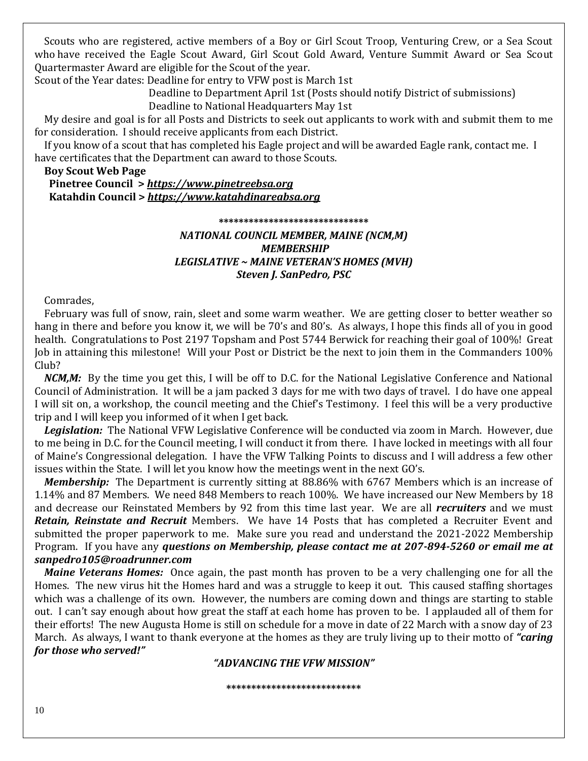Scouts who are registered, active members of a Boy or Girl Scout Troop, Venturing Crew, or a Sea Scout who have received the Eagle Scout Award, Girl Scout Gold Award, Venture Summit Award or Sea Scout Quartermaster Award are eligible for the Scout of the year.

Scout of the Year dates: Deadline for entry to VFW post is March 1st

 Deadline to Department April 1st (Posts should notify District of submissions) Deadline to National Headquarters May 1st

 My desire and goal is for all Posts and Districts to seek out applicants to work with and submit them to me for consideration. I should receive applicants from each District.

 If you know of a scout that has completed his Eagle project and will be awarded Eagle rank, contact me. I have certificates that the Department can award to those Scouts.

### **Boy Scout Web Page**

 **Pinetree Council >** *[https://www.pinetreebsa.org](https://www.pinetreebsa.org/)*  **Katahdin Council >** *[https://www.katahdinareabsa.org](https://www.katahdinareabsa.org/)*

#### **\*\*\*\*\*\*\*\*\*\*\*\*\*\*\*\*\*\*\*\*\*\*\*\*\*\*\*\*\*\***

## *NATIONAL COUNCIL MEMBER, MAINE (NCM,M) MEMBERSHIP LEGISLATIVE ~ MAINE VETERAN'S HOMES (MVH) Steven J. SanPedro, PSC*

Comrades,

 February was full of snow, rain, sleet and some warm weather. We are getting closer to better weather so hang in there and before you know it, we will be 70's and 80's. As always, I hope this finds all of you in good health. Congratulations to Post 2197 Topsham and Post 5744 Berwick for reaching their goal of 100%! Great Job in attaining this milestone! Will your Post or District be the next to join them in the Commanders 100% Club?

*NCM,M:*By the time you get this, I will be off to D.C. for the National Legislative Conference and National Council of Administration. It will be a jam packed 3 days for me with two days of travel. I do have one appeal I will sit on, a workshop, the council meeting and the Chief's Testimony. I feel this will be a very productive trip and I will keep you informed of it when I get back.

 *Legislation:*The National VFW Legislative Conference will be conducted via zoom in March. However, due to me being in D.C. for the Council meeting, I will conduct it from there. I have locked in meetings with all four of Maine's Congressional delegation. I have the VFW Talking Points to discuss and I will address a few other issues within the State. I will let you know how the meetings went in the next GO's.

 *Membership:* The Department is currently sitting at 88.86% with 6767 Members which is an increase of 1.14% and 87 Members. We need 848 Members to reach 100%. We have increased our New Members by 18 and decrease our Reinstated Members by 92 from this time last year. We are all *recruiters* and we must *Retain, Reinstate and Recruit* Members. We have 14 Posts that has completed a Recruiter Event and submitted the proper paperwork to me. Make sure you read and understand the 2021-2022 Membership Program. If you have any *questions on Membership, please contact me at 207-894-5260 or email me at [sanpedro105@roadrunner.com](mailto:sanpedro105@roadrunner.com)*

*Maine Veterans Homes:*Once again, the past month has proven to be a very challenging one for all the Homes. The new virus hit the Homes hard and was a struggle to keep it out. This caused staffing shortages which was a challenge of its own. However, the numbers are coming down and things are starting to stable out. I can't say enough about how great the staff at each home has proven to be. I applauded all of them for their efforts! The new Augusta Home is still on schedule for a move in date of 22 March with a snow day of 23 March. As always, I want to thank everyone at the homes as they are truly living up to their motto of *"caring for those who served!"*

### *"ADVANCING THE VFW MISSION"*

**\*\*\*\*\*\*\*\*\*\*\*\*\*\*\*\*\*\*\*\*\*\*\*\*\*\*\***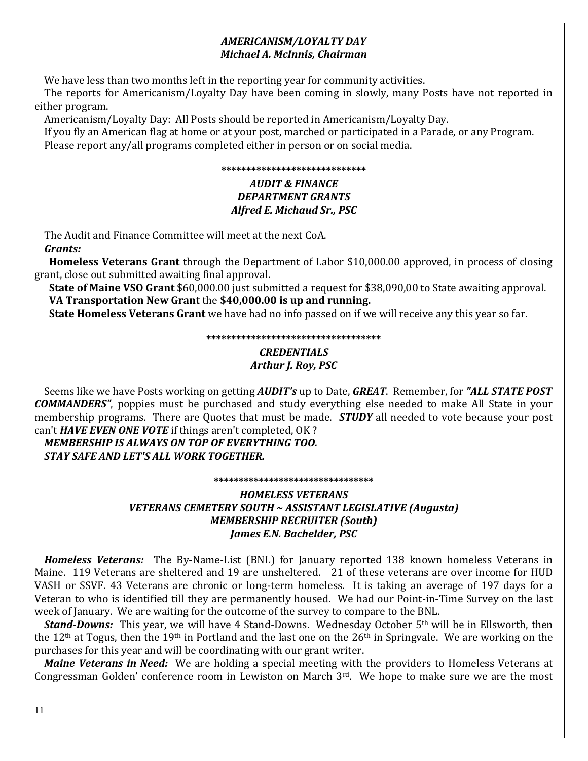## *AMERICANISM/LOYALTY DAY Michael A. McInnis, Chairman*

We have less than two months left in the reporting year for community activities.

 The reports for Americanism/Loyalty Day have been coming in slowly, many Posts have not reported in either program.

Americanism/Loyalty Day: All Posts should be reported in Americanism/Loyalty Day.

 If you fly an American flag at home or at your post, marched or participated in a Parade, or any Program. Please report any/all programs completed either in person or on social media.

### **\*\*\*\*\*\*\*\*\*\*\*\*\*\*\*\*\*\*\*\*\*\*\*\*\*\*\*\*\***

## *AUDIT & FINANCE DEPARTMENT GRANTS Alfred E. Michaud Sr., PSC*

 The Audit and Finance Committee will meet at the next CoA.  *Grants:*

 **Homeless Veterans Grant** through the Department of Labor \$10,000.00 approved, in process of closing grant, close out submitted awaiting final approval.

 **State of Maine VSO Grant** \$60,000.00 just submitted a request for \$38,090,00 to State awaiting approval. **VA Transportation New Grant** the **\$40,000.00 is up and running.** 

 **State Homeless Veterans Grant** we have had no info passed on if we will receive any this year so far.

**\*\*\*\*\*\*\*\*\*\*\*\*\*\*\*\*\*\*\*\*\*\*\*\*\*\*\*\*\*\*\*\*\*\*\***

## *CREDENTIALS Arthur J. Roy, PSC*

 Seems like we have Posts working on getting *AUDIT's* up to Date, *GREAT*. Remember, for *"ALL STATE POST COMMANDERS"*, poppies must be purchased and study everything else needed to make All State in your membership programs. There are Quotes that must be made. *STUDY* all needed to vote because your post can't *HAVE EVEN ONE VOTE* if things aren't completed, OK ?

 *MEMBERSHIP IS ALWAYS ON TOP OF EVERYTHING TOO. STAY SAFE AND LET'S ALL WORK TOGETHER.*

**\*\*\*\*\*\*\*\*\*\*\*\*\*\*\*\*\*\*\*\*\*\*\*\*\*\*\*\*\*\*\*\***

## *HOMELESS VETERANS VETERANS CEMETERY SOUTH ~ ASSISTANT LEGISLATIVE (Augusta) MEMBERSHIP RECRUITER (South) James E.N. Bachelder, PSC*

*Homeless Veterans:* The By-Name-List (BNL) for January reported 138 known homeless Veterans in Maine. 119 Veterans are sheltered and 19 are unsheltered. 21 of these veterans are over income for HUD VASH or SSVF. 43 Veterans are chronic or long-term homeless. It is taking an average of 197 days for a Veteran to who is identified till they are permanently housed. We had our Point-in-Time Survey on the last week of January. We are waiting for the outcome of the survey to compare to the BNL.

*Stand-Downs:* This year, we will have 4 Stand-Downs. Wednesday October 5<sup>th</sup> will be in Ellsworth, then the 12<sup>th</sup> at Togus, then the 19<sup>th</sup> in Portland and the last one on the 26<sup>th</sup> in Springvale. We are working on the purchases for this year and will be coordinating with our grant writer.

*Maine Veterans in Need:* We are holding a special meeting with the providers to Homeless Veterans at Congressman Golden' conference room in Lewiston on March 3rd. We hope to make sure we are the most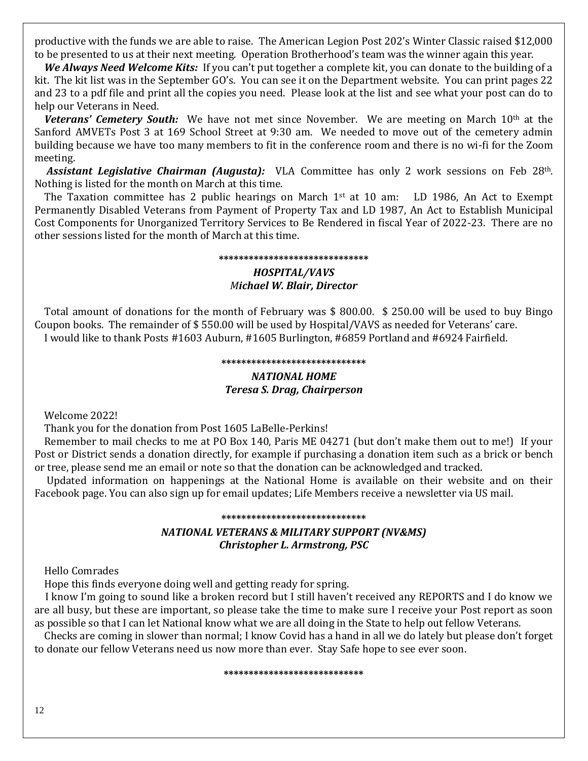productive with the funds we are able to raise. The American Legion Post 202's Winter Classic raised \$12,000 to be presented to us at their next meeting. Operation Brotherhood's team was the winner again this year.

 *We Always Need Welcome Kits:* If you can't put together a complete kit, you can donate to the building of a kit. The kit list was in the September GO's. You can see it on the Department website. You can print pages 22 and 23 to a pdf file and print all the copies you need. Please look at the list and see what your post can do to help our Veterans in Need.

*Veterans' Cemetery South:* We have not met since November. We are meeting on March 10<sup>th</sup> at the Sanford AMVETs Post 3 at 169 School Street at 9:30 am. We needed to move out of the cemetery admin building because we have too many members to fit in the conference room and there is no wi-fi for the Zoom meeting.

*Assistant Legislative Chairman (Augusta):* VLA Committee has only 2 work sessions on Feb 28th. Nothing is listed for the month on March at this time.

The Taxation committee has 2 public hearings on March 1<sup>st</sup> at 10 am: LD 1986, An Act to Exempt Permanently Disabled Veterans from Payment of Property Tax and LD 1987, An Act to Establish Municipal Cost Components for Unorganized Territory Services to Be Rendered in fiscal Year of 2022-23. There are no other sessions listed for the month of March at this time.

#### **\*\*\*\*\*\*\*\*\*\*\*\*\*\*\*\*\*\*\*\*\*\*\*\*\*\*\*\*\*\***

### *HOSPITAL/VAVS Michael W. Blair, Director*

 Total amount of donations for the month of February was \$ 800.00. \$ 250.00 will be used to buy Bingo Coupon books. The remainder of \$ 550.00 will be used by Hospital/VAVS as needed for Veterans' care. I would like to thank Posts #1603 Auburn, #1605 Burlington, #6859 Portland and #6924 Fairfield.

#### **\*\*\*\*\*\*\*\*\*\*\*\*\*\*\*\*\*\*\*\*\*\*\*\*\*\*\*\*\***

### *NATIONAL HOME Teresa S. Drag, Chairperson*

Welcome 2022!

Thank you for the donation from Post 1605 LaBelle-Perkins!

 Remember to mail checks to me at PO Box 140, Paris ME 04271 (but don't make them out to me!) If your Post or District sends a donation directly, for example if purchasing a donation item such as a brick or bench or tree, please send me an email or note so that the donation can be acknowledged and tracked.

 Updated information on happenings at the National Home is available on their website and on their Facebook page. You can also sign up for email updates; Life Members receive a newsletter via US mail.

## **\*\*\*\*\*\*\*\*\*\*\*\*\*\*\*\*\*\*\*\*\*\*\*\*\*\*\*\*\*** *NATIONAL VETERANS & MILITARY SUPPORT (NV&MS) Christopher L. Armstrong, PSC*

Hello Comrades

Hope this finds everyone doing well and getting ready for spring.

I know I'm going to sound like a broken record but I still haven't received any REPORTS and I do know we are all busy, but these are important, so please take the time to make sure I receive your Post report as soon as possible so that I can let National know what we are all doing in the State to help out fellow Veterans.

Checks are coming in slower than normal; I know Covid has a hand in all we do lately but please don't forget to donate our fellow Veterans need us now more than ever. Stay Safe hope to see ever soon.

#### **\*\*\*\*\*\*\*\*\*\*\*\*\*\*\*\*\*\*\*\*\*\*\*\*\*\*\*\***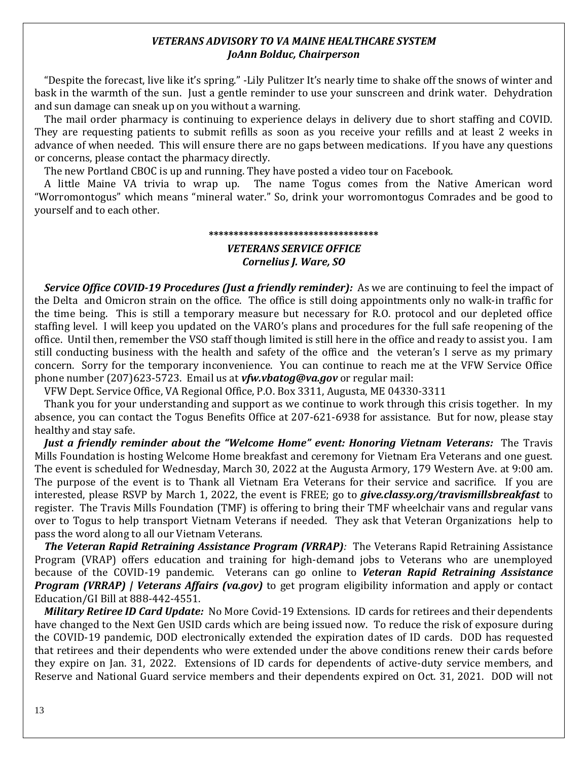### *VETERANS ADVISORY TO VA MAINE HEALTHCARE SYSTEM JoAnn Bolduc, Chairperson*

 "Despite the forecast, live like it's spring." -Lily Pulitzer It's nearly time to shake off the snows of winter and bask in the warmth of the sun. Just a gentle reminder to use your sunscreen and drink water. Dehydration and sun damage can sneak up on you without a warning.

 The mail order pharmacy is continuing to experience delays in delivery due to short staffing and COVID. They are requesting patients to submit refills as soon as you receive your refills and at least 2 weeks in advance of when needed. This will ensure there are no gaps between medications. If you have any questions or concerns, please contact the pharmacy directly.

The new Portland CBOC is up and running. They have posted a video tour on Facebook.

 A little Maine VA trivia to wrap up. The name Togus comes from the Native American word "Worromontogus" which means "mineral water." So, drink your worromontogus Comrades and be good to yourself and to each other.

#### **\*\*\*\*\*\*\*\*\*\*\*\*\*\*\*\*\*\*\*\*\*\*\*\*\*\*\*\*\*\*\*\*\*\***

### *VETERANS SERVICE OFFICE Cornelius J. Ware, SO*

 *Service Office COVID-19 Procedures (Just a friendly reminder):* As we are continuing to feel the impact of the Delta and Omicron strain on the office. The office is still doing appointments only no walk-in traffic for the time being. This is still a temporary measure but necessary for R.O. protocol and our depleted office staffing level. I will keep you updated on the VARO's plans and procedures for the full safe reopening of the office. Until then, remember the VSO staff though limited is still here in the office and ready to assist you. I am still conducting business with the health and safety of the office and the veteran's I serve as my primary concern. Sorry for the temporary inconvenience. You can continue to reach me at the VFW Service Office phone number (207)623-5723. Email us at *[vfw.vbatog@va.gov](mailto:vfw.vbatog@va.gov)* or regular mail:

VFW Dept. Service Office, VA Regional Office, P.O. Box 3311, Augusta, ME 04330-3311

 Thank you for your understanding and support as we continue to work through this crisis together. In my absence, you can contact the Togus Benefits Office at 207-621-6938 for assistance. But for now, please stay healthy and stay safe.

*Just a friendly reminder about the "Welcome Home" event: Honoring Vietnam Veterans:*The Travis Mills Foundation is hosting Welcome Home breakfast and ceremony for Vietnam Era Veterans and one guest. The event is scheduled for Wednesday, March 30, 2022 at the Augusta Armory, 179 Western Ave. at 9:00 am. The purpose of the event is to Thank all Vietnam Era Veterans for their service and sacrifice. If you are interested, please RSVP by March 1, 2022, the event is FREE; go to *give.classy.org/travismillsbreakfast* to register. The Travis Mills Foundation (TMF) is offering to bring their TMF wheelchair vans and regular vans over to Togus to help transport Vietnam Veterans if needed. They ask that Veteran Organizations help to pass the word along to all our Vietnam Veterans.

*The Veteran Rapid Retraining Assistance Program (VRRAP):* The Veterans Rapid Retraining Assistance Program (VRAP) offers education and training for high-demand jobs to Veterans who are unemployed because of the COVID-19 pandemic. Veterans can go online to *[Veteran Rapid Retraining Assistance](https://www.va.gov/education/other-va-education-benefits/veteran-rapid-retraining-assistance/)  [Program \(VRRAP\) | Veterans Affairs \(va.gov\)](https://www.va.gov/education/other-va-education-benefits/veteran-rapid-retraining-assistance/)* to get program eligibility information and apply or contact Education/GI Bill at 888-442-4551.

*Military Retiree ID Card Update:*No More Covid-19 Extensions. ID cards for retirees and their dependents have changed to the Next Gen USID cards which are being issued now. To reduce the risk of exposure during the COVID-19 pandemic, DOD electronically extended the expiration dates of ID cards. DOD has requested that retirees and their dependents who were extended under the above conditions renew their cards before they expire on Jan. 31, 2022. Extensions of ID cards for dependents of active-duty service members, and Reserve and National Guard service members and their dependents expired on Oct. 31, 2021. DOD will not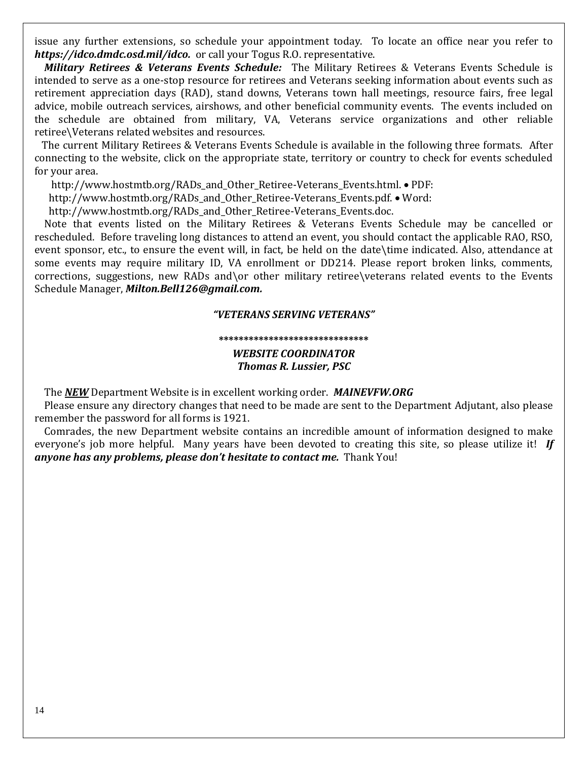issue any further extensions, so schedule your appointment today. To locate an office near you refer to *<https://idco.dmdc.osd.mil/idco.>*or call your Togus R.O. representative.

*Military Retirees & Veterans Events Schedule:*The Military Retirees & Veterans Events Schedule is intended to serve as a one-stop resource for retirees and Veterans seeking information about events such as retirement appreciation days (RAD), stand downs, Veterans town hall meetings, resource fairs, free legal advice, mobile outreach services, airshows, and other beneficial community events. The events included on the schedule are obtained from military, VA, Veterans service organizations and other reliable retiree\Veterans related websites and resources.

 The current Military Retirees & Veterans Events Schedule is available in the following three formats. After connecting to the website, click on the appropriate state, territory or country to check for events scheduled for your area.

http://www.hostmtb.org/RADs\_and\_Other\_Retiree-Veterans\_Events.html. • PDF:

http://www.hostmtb.org/RADs\_and\_Other\_Retiree-Veterans\_Events.pdf. • Word:

http://www.hostmtb.org/RADs\_and\_Other\_Retiree-Veterans\_Events.doc.

 Note that events listed on the Military Retirees & Veterans Events Schedule may be cancelled or rescheduled. Before traveling long distances to attend an event, you should contact the applicable RAO, RSO, event sponsor, etc., to ensure the event will, in fact, be held on the date\time indicated. Also, attendance at some events may require military ID, VA enrollment or DD214. Please report broken links, comments, corrections, suggestions, new RADs and\or other military retiree\veterans related events to the Events Schedule Manager, *[Milton.Bell126@gmail.com.](mailto:Milton.Bell126@gmail.com)*

### *"VETERANS SERVING VETERANS"*

#### **\*\*\*\*\*\*\*\*\*\*\*\*\*\*\*\*\*\*\*\*\*\*\*\*\*\*\*\*\*\***

*WEBSITE COORDINATOR Thomas R. Lussier, PSC*

The *NEW* Department Website is in excellent working order. *MAINEVFW.ORG*

 Please ensure any directory changes that need to be made are sent to the Department Adjutant, also please remember the password for all forms is 1921.

 Comrades, the new Department website contains an incredible amount of information designed to make everyone's job more helpful. Many years have been devoted to creating this site, so please utilize it! *If anyone has any problems, please don't hesitate to contact me.* Thank You!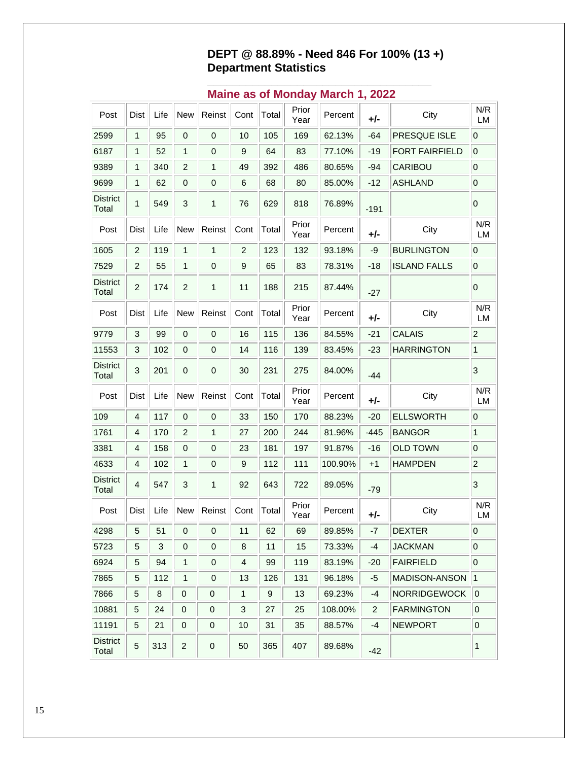## **DEPT @ 88.89% - Need 846 For 100% (13 +) Department Statistics**

**\_\_\_\_\_\_\_\_\_\_\_\_\_\_\_\_\_\_\_\_\_\_\_\_\_\_\_\_\_\_\_\_\_\_\_**

| Post                     | Dist                      | Life | <b>New</b>              | Reinst                  | Cont           | Total            | Prior<br>Year | Percent | +/-            | City                  | N/R<br>LM      |
|--------------------------|---------------------------|------|-------------------------|-------------------------|----------------|------------------|---------------|---------|----------------|-----------------------|----------------|
| 2599                     | $\mathbf{1}$              | 95   | $\pmb{0}$               | $\boldsymbol{0}$        | 10             | 105              | 169           | 62.13%  | $-64$          | <b>PRESQUE ISLE</b>   | 0              |
| 6187                     | 1                         | 52   | 1                       | $\mathbf 0$             | 9              | 64               | 83            | 77.10%  | $-19$          | <b>FORT FAIRFIELD</b> | 0              |
| 9389                     | 1                         | 340  | $\overline{c}$          | 1                       | 49             | 392              | 486           | 80.65%  | $-94$          | CARIBOU               | 0              |
| 9699                     | 1                         | 62   | $\pmb{0}$               | $\mathbf 0$             | 6              | 68               | 80            | 85.00%  | $-12$          | <b>ASHLAND</b>        | 0              |
| <b>District</b><br>Total | 1                         | 549  | 3                       | $\mathbf{1}$            | 76             | 629              | 818           | 76.89%  | $-191$         |                       | 0              |
| Post                     | Dist                      | Life | <b>New</b>              | Reinst                  | Cont           | Total            | Prior<br>Year | Percent | +/-            | City                  | N/R<br>LM      |
| 1605                     | $\overline{c}$            | 119  | $\mathbf{1}$            | 1                       | $\overline{2}$ | 123              | 132           | 93.18%  | -9             | <b>BURLINGTON</b>     | 0              |
| 7529                     | $\overline{c}$            | 55   | $\mathbf{1}$            | $\mathbf 0$             | 9              | 65               | 83            | 78.31%  | $-18$          | <b>ISLAND FALLS</b>   | 0              |
| <b>District</b><br>Total | $\overline{2}$            | 174  | $\overline{c}$          | $\mathbf{1}$            | 11             | 188              | 215           | 87.44%  | $-27$          |                       | 0              |
| Post                     | Dist                      | Life | <b>New</b>              | Reinst                  | Cont           | Total            | Prior<br>Year | Percent | +/-            | City                  | N/R<br>LM      |
| 9779                     | $\ensuremath{\mathsf{3}}$ | 99   | $\pmb{0}$               | $\boldsymbol{0}$        | 16             | 115              | 136           | 84.55%  | $-21$          | <b>CALAIS</b>         | $\overline{c}$ |
| 11553                    | 3                         | 102  | 0                       | 0                       | 14             | 116              | 139           | 83.45%  | $-23$          | <b>HARRINGTON</b>     | $\mathbf{1}$   |
| <b>District</b><br>Total | 3                         | 201  | 0                       | 0                       | 30             | 231              | 275           | 84.00%  | $-44$          |                       | 3              |
| Post                     | Dist                      | Life | <b>New</b>              | Reinst                  | Cont           | Total            | Prior<br>Year | Percent | +/-            | City                  | N/R<br>LM      |
| 109                      | 4                         | 117  | 0                       | $\mathbf 0$             | 33             | 150              | 170           | 88.23%  | $-20$          | <b>ELLSWORTH</b>      | 0              |
| 1761                     | 4                         | 170  | $\overline{c}$          | $\mathbf{1}$            | 27             | 200              | 244           | 81.96%  | $-445$         | <b>BANGOR</b>         | 1              |
| 3381                     | 4                         | 158  | 0                       | 0                       | 23             | 181              | 197           | 91.87%  | $-16$          | <b>OLD TOWN</b>       | 0              |
| 4633                     | 4                         | 102  | 1                       | 0                       | 9              | 112              | 111           | 100.90% | $+1$           | <b>HAMPDEN</b>        | $\overline{c}$ |
| <b>District</b><br>Total | 4                         | 547  | 3                       | $\mathbf{1}$            | 92             | 643              | 722           | 89.05%  | $-79$          |                       | 3              |
| Post                     | Dist                      | Life | <b>New</b>              | Reinst                  | Cont           | Total            | Prior<br>Year | Percent | +/-            | City                  | N/R<br>LM      |
| 4298                     | $5\overline{)}$           | 51   | $\overline{\mathbf{0}}$ | $\overline{\mathbf{0}}$ | 11             | 62               | 69            | 89.85%  | $-7$           | <b>DEXTER</b>         | $\overline{0}$ |
| 5723                     | 5                         | 3    | 0                       | $\mathbf 0$             | 8              | 11               | 15            | 73.33%  | -4             | <b>JACKMAN</b>        | 0              |
| 6924                     | 5                         | 94   | 1                       | 0                       | 4              | 99               | 119           | 83.19%  | $-20$          | <b>FAIRFIELD</b>      | 0              |
| 7865                     | 5                         | 112  | $\mathbf{1}$            | 0                       | 13             | 126              | 131           | 96.18%  | -5             | MADISON-ANSON         | 1              |
| 7866                     | $\mathbf 5$               | 8    | 0                       | 0                       | 1              | $\boldsymbol{9}$ | 13            | 69.23%  | -4             | <b>NORRIDGEWOCK</b>   | $\pmb{0}$      |
| 10881                    | 5                         | 24   | 0                       | 0                       | 3              | 27               | 25            | 108.00% | $\overline{2}$ | <b>FARMINGTON</b>     | 0              |
| 11191                    | 5                         | 21   | 0                       | 0                       | 10             | 31               | 35            | 88.57%  | -4             | <b>NEWPORT</b>        | 0              |
| <b>District</b><br>Total | 5                         | 313  | $\overline{c}$          | 0                       | 50             | 365              | 407           | 89.68%  | $-42$          |                       | 1              |

## **Maine as of Monday March 1, 2022**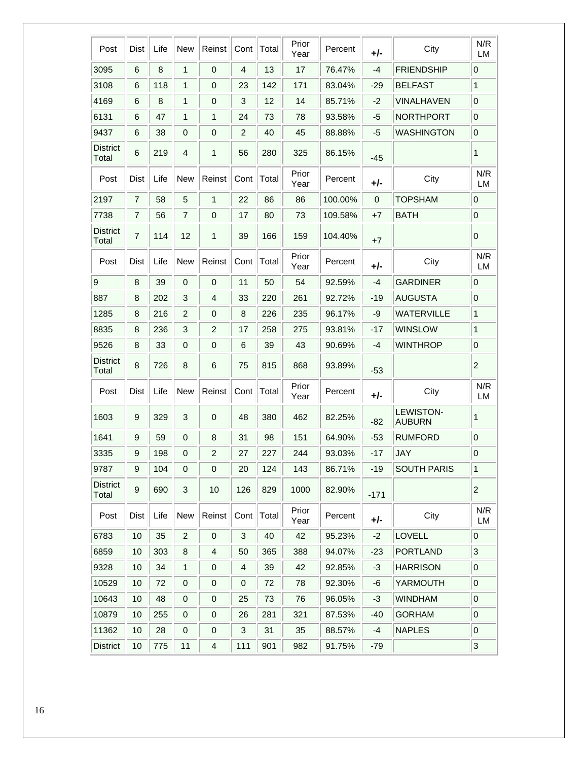| Post                     | Dist           | Life | <b>New</b>     | Reinst         | Cont           | Total | Prior<br>Year | Percent | +/-    | City                              | N/R<br>LM        |
|--------------------------|----------------|------|----------------|----------------|----------------|-------|---------------|---------|--------|-----------------------------------|------------------|
| 3095                     | 6              | 8    | 1              | $\mathbf 0$    | 4              | 13    | 17            | 76.47%  | $-4$   | <b>FRIENDSHIP</b>                 | $\mathbf 0$      |
| 3108                     | 6              | 118  | 1              | 0              | 23             | 142   | 171           | 83.04%  | $-29$  | <b>BELFAST</b>                    | 1                |
| 4169                     | 6              | 8    | 1              | 0              | 3              | 12    | 14            | 85.71%  | -2     | VINALHAVEN                        | 0                |
| 6131                     | 6              | 47   | 1              | $\mathbf{1}$   | 24             | 73    | 78            | 93.58%  | -5     | <b>NORTHPORT</b>                  | $\overline{0}$   |
| 9437                     | 6              | 38   | 0              | 0              | $\overline{c}$ | 40    | 45            | 88.88%  | -5     | <b>WASHINGTON</b>                 | $\pmb{0}$        |
| <b>District</b><br>Total | 6              | 219  | 4              | 1              | 56             | 280   | 325           | 86.15%  | -45    |                                   | 1                |
| Post                     | Dist           | Life | New            | Reinst         | Cont           | Total | Prior<br>Year | Percent | +/-    | City                              | N/R<br>LM        |
| 2197                     | 7              | 58   | 5              | $\mathbf{1}$   | 22             | 86    | 86            | 100.00% | 0      | <b>TOPSHAM</b>                    | 0                |
| 7738                     | 7              | 56   | $\overline{7}$ | 0              | 17             | 80    | 73            | 109.58% | +7     | <b>BATH</b>                       | $\overline{0}$   |
| <b>District</b><br>Total | $\overline{7}$ | 114  | 12             | 1              | 39             | 166   | 159           | 104.40% | $+7$   |                                   | $\mathbf 0$      |
| Post                     | Dist           | Life | New            | Reinst         | Cont           | Total | Prior<br>Year | Percent | +/-    | City                              | N/R<br><b>LM</b> |
| $\boldsymbol{9}$         | 8              | 39   | $\mathbf 0$    | $\mathbf 0$    | 11             | 50    | 54            | 92.59%  | $-4$   | <b>GARDINER</b>                   | $\mathbf 0$      |
| 887                      | 8              | 202  | 3              | 4              | 33             | 220   | 261           | 92.72%  | $-19$  | <b>AUGUSTA</b>                    | 0                |
| 1285                     | 8              | 216  | $\overline{2}$ | 0              | 8              | 226   | 235           | 96.17%  | -9     | <b>WATERVILLE</b>                 | 1                |
| 8835                     | 8              | 236  | 3              | $\overline{c}$ | 17             | 258   | 275           | 93.81%  | $-17$  | <b>WINSLOW</b>                    | 1                |
| 9526                     | 8              | 33   | 0              | 0              | 6              | 39    | 43            | 90.69%  | $-4$   | <b>WINTHROP</b>                   | $\pmb{0}$        |
| <b>District</b><br>Total | 8              | 726  | 8              | 6              | 75             | 815   | 868           | 93.89%  | $-53$  |                                   | $\boldsymbol{2}$ |
| Post                     | Dist           | Life | <b>New</b>     | Reinst         | Cont           | Total | Prior<br>Year | Percent | +/-    | City                              | N/R<br><b>LM</b> |
| 1603                     | 9              | 329  | 3              | 0              | 48             | 380   | 462           | 82.25%  | $-82$  | <b>LEWISTON-</b><br><b>AUBURN</b> | 1                |
| 1641                     | 9              | 59   | 0              | 8              | 31             | 98    | 151           | 64.90%  | $-53$  | <b>RUMFORD</b>                    | $\mathbf 0$      |
| 3335                     | 9              | 198  | 0              | $\overline{c}$ | 27             | 227   | 244           | 93.03%  | $-17$  | <b>JAY</b>                        | $\overline{0}$   |
| 9787                     | 9              | 104  | 0              | 0              | 20             | 124   | 143           | 86.71%  | $-19$  | <b>SOUTH PARIS</b>                | 1                |
| <b>District</b><br>Total | 9              | 690  | 3              | 10             | 126            | 829   | 1000          | 82.90%  | $-171$ |                                   | $\overline{c}$   |
| Post                     | Dist           | Life | <b>New</b>     | Reinst         | Cont           | Total | Prior<br>Year | Percent | +/-    | City                              | N/R<br>LM        |
| 6783                     | 10             | 35   | $\overline{c}$ | $\pmb{0}$      | 3              | 40    | 42            | 95.23%  | $-2$   | LOVELL                            | $\mathbf 0$      |
| 6859                     | 10             | 303  | 8              | 4              | 50             | 365   | 388           | 94.07%  | $-23$  | <b>PORTLAND</b>                   | $\overline{3}$   |
| 9328                     | 10             | 34   | 1              | 0              | 4              | 39    | 42            | 92.85%  | $-3$   | <b>HARRISON</b>                   | $\overline{0}$   |
| 10529                    | 10             | 72   | 0              | $\mathbf 0$    | 0              | 72    | 78            | 92.30%  | -6     | YARMOUTH                          | $\overline{0}$   |
| 10643                    | 10             | 48   | $\mathbf 0$    | $\mathbf 0$    | 25             | 73    | 76            | 96.05%  | $-3$   | <b>WINDHAM</b>                    | $\pmb{0}$        |
| 10879                    | 10             | 255  | 0              | 0              | 26             | 281   | 321           | 87.53%  | $-40$  | <b>GORHAM</b>                     | $\overline{0}$   |
| 11362                    | 10             | 28   | 0              | 0              | 3              | 31    | 35            | 88.57%  | -4     | <b>NAPLES</b>                     | $\overline{0}$   |
| <b>District</b>          | 10             | 775  | 11             | 4              | 111            | 901   | 982           | 91.75%  | $-79$  |                                   | $\overline{3}$   |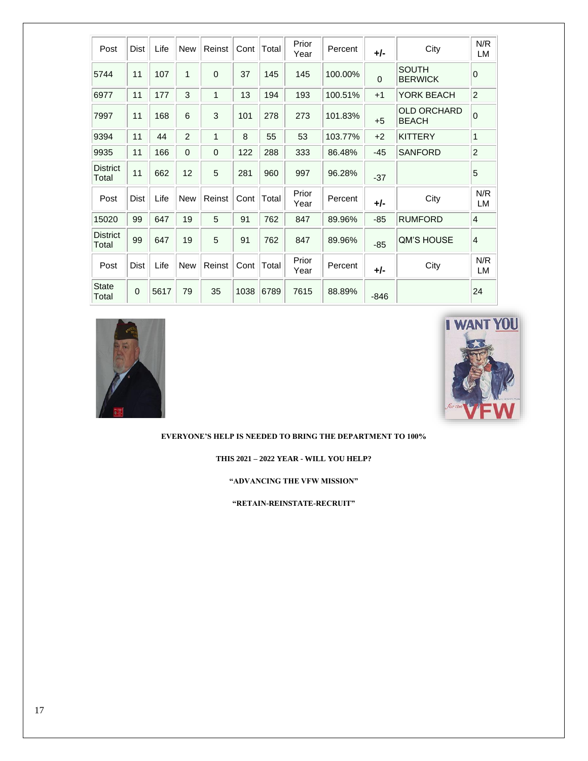| Post                     | Dist        | Life | <b>New</b>     | Reinst       | Cont | Total | Prior<br>Year | Percent | +/-      | City                               | N/R<br>LM      |
|--------------------------|-------------|------|----------------|--------------|------|-------|---------------|---------|----------|------------------------------------|----------------|
| 5744                     | 11          | 107  | 1              | $\Omega$     | 37   | 145   | 145           | 100.00% | $\Omega$ | <b>SOUTH</b><br><b>BERWICK</b>     | 0              |
| 6977                     | 11          | 177  | 3              | 1            | 13   | 194   | 193           | 100.51% | $+1$     | YORK BEACH                         | $\overline{c}$ |
| 7997                     | 11          | 168  | 6              | 3            | 101  | 278   | 273           | 101.83% | $+5$     | <b>OLD ORCHARD</b><br><b>BEACH</b> | $\overline{0}$ |
| 9394                     | 11          | 44   | $\overline{2}$ | 1            | 8    | 55    | 53            | 103.77% | $+2$     | <b>KITTERY</b>                     | 1              |
| 9935                     | 11          | 166  | 0              | $\mathbf{0}$ | 122  | 288   | 333           | 86.48%  | $-45$    | <b>SANFORD</b>                     | $\overline{c}$ |
| <b>District</b><br>Total | 11          | 662  | 12             | 5            | 281  | 960   | 997           | 96.28%  | $-37$    |                                    | 5              |
| Post                     | Dist        | Life | <b>New</b>     | Reinst       | Cont | Total | Prior<br>Year | Percent | +/-      | City                               | N/R<br>LM      |
| 15020                    | 99          | 647  | 19             | 5            | 91   | 762   | 847           | 89.96%  | $-85$    | <b>RUMFORD</b>                     | $\overline{4}$ |
| <b>District</b><br>Total | 99          | 647  | 19             | 5            | 91   | 762   | 847           | 89.96%  | $-85$    | <b>QM'S HOUSE</b>                  | $\overline{4}$ |
| Post                     | <b>Dist</b> | Life | <b>New</b>     | Reinst       | Cont | Total | Prior<br>Year | Percent | +/-      | City                               | N/R<br>LM      |
| <b>State</b><br>Total    | $\mathbf 0$ | 5617 | 79             | 35           | 1038 | 6789  | 7615          | 88.89%  | $-846$   |                                    | 24             |





**EVERYONE'S HELP IS NEEDED TO BRING THE DEPARTMENT TO 100%**

**THIS 2021 – 2022 YEAR - WILL YOU HELP?**

**"ADVANCING THE VFW MISSION"** 

**"RETAIN-REINSTATE-RECRUIT"**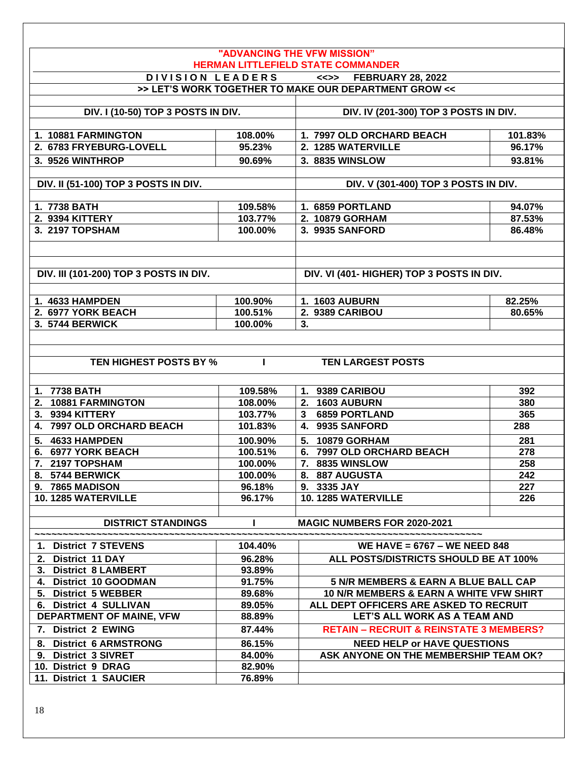|                                                       |                  | "ADVANCING THE VFW MISSION"                                                       |         |
|-------------------------------------------------------|------------------|-----------------------------------------------------------------------------------|---------|
|                                                       |                  | <b>HERMAN LITTLEFIELD STATE COMMANDER</b>                                         |         |
|                                                       | DIVISION LEADERS | <<>> FEBRUARY 28, 2022                                                            |         |
|                                                       |                  | >> LET'S WORK TOGETHER TO MAKE OUR DEPARTMENT GROW <<                             |         |
| DIV. I (10-50) TOP 3 POSTS IN DIV.                    |                  | DIV. IV (201-300) TOP 3 POSTS IN DIV.                                             |         |
|                                                       |                  |                                                                                   |         |
| 1. 10881 FARMINGTON                                   | 108.00%          | 1. 7997 OLD ORCHARD BEACH                                                         | 101.83% |
| 2. 6783 FRYEBURG-LOVELL                               | 95.23%           | 2. 1285 WATERVILLE                                                                | 96.17%  |
| 3. 9526 WINTHROP                                      | 90.69%           | 3. 8835 WINSLOW                                                                   | 93.81%  |
|                                                       |                  |                                                                                   |         |
| DIV. II (51-100) TOP 3 POSTS IN DIV.                  |                  | DIV. V (301-400) TOP 3 POSTS IN DIV.                                              |         |
|                                                       |                  |                                                                                   |         |
| 1. 7738 BATH                                          | 109.58%          | 1. 6859 PORTLAND                                                                  | 94.07%  |
| 2. 9394 KITTERY                                       | 103.77%          | 2. 10879 GORHAM                                                                   | 87.53%  |
| 3. 2197 TOPSHAM                                       | 100.00%          | 3. 9935 SANFORD                                                                   | 86.48%  |
|                                                       |                  |                                                                                   |         |
|                                                       |                  |                                                                                   |         |
| DIV. III (101-200) TOP 3 POSTS IN DIV.                |                  | DIV. VI (401- HIGHER) TOP 3 POSTS IN DIV.                                         |         |
|                                                       |                  |                                                                                   |         |
| 1. 4633 HAMPDEN                                       | 100.90%          | <b>1. 1603 AUBURN</b>                                                             | 82.25%  |
| 2. 6977 YORK BEACH                                    | 100.51%          | 2. 9389 CARIBOU                                                                   | 80.65%  |
| 3. 5744 BERWICK                                       | 100.00%          | 3.                                                                                |         |
|                                                       |                  |                                                                                   |         |
|                                                       |                  |                                                                                   |         |
| TEN HIGHEST POSTS BY %                                | $\mathbf{I}$     | <b>TEN LARGEST POSTS</b>                                                          |         |
|                                                       |                  |                                                                                   |         |
| 1. 7738 BATH                                          | 109.58%          | 1. 9389 CARIBOU                                                                   | 392     |
| 2. 10881 FARMINGTON                                   | 108.00%          | 2. 1603 AUBURN                                                                    | 380     |
| 3. 9394 KITTERY                                       | 103.77%          | <b>6859 PORTLAND</b><br>$\mathbf{3}$                                              | 365     |
| 4. 7997 OLD ORCHARD BEACH                             | 101.83%          | 4. 9935 SANFORD                                                                   | 288     |
| <b>4633 HAMPDEN</b><br>5.                             | 100.90%          | 5. 10879 GORHAM                                                                   | 281     |
| 6. 6977 YORK BEACH                                    | 100.51%          | 6. 7997 OLD ORCHARD BEACH                                                         | 278     |
| 7. 2197 TOPSHAM                                       | 100.00%          | 7. 8835 WINSLOW                                                                   | 258     |
| 8. 5744 BERWICK                                       | 100.00%          | 8. 887 AUGUSTA                                                                    | 242     |
| 9. 7865 MADISON                                       | 96.18%           | 9. 3335 JAY                                                                       | 227     |
| 10. 1285 WATERVILLE                                   | 96.17%           | 10.1285 WATERVILLE                                                                | 226     |
|                                                       |                  |                                                                                   |         |
| <b>DISTRICT STANDINGS</b>                             |                  | <b>MAGIC NUMBERS FOR 2020-2021</b>                                                |         |
|                                                       |                  |                                                                                   |         |
| 1. District 7 STEVENS                                 | 104.40%          | WE HAVE = $6767 - WE$ NEED 848                                                    |         |
| 2. District 11 DAY                                    | 96.28%           | ALL POSTS/DISTRICTS SHOULD BE AT 100%                                             |         |
| 3. District 8 LAMBERT                                 | 93.89%           |                                                                                   |         |
| 4. District 10 GOODMAN                                | 91.75%           | 5 N/R MEMBERS & EARN A BLUE BALL CAP                                              |         |
| 5. District 5 WEBBER<br>6. District 4 SULLIVAN        | 89.68%<br>89.05% | 10 N/R MEMBERS & EARN A WHITE VFW SHIRT<br>ALL DEPT OFFICERS ARE ASKED TO RECRUIT |         |
| DEPARTMENT OF MAINE, VFW                              | 88.89%           | LET'S ALL WORK AS A TEAM AND                                                      |         |
| 7. District 2 EWING                                   | 87.44%           | <b>RETAIN - RECRUIT &amp; REINSTATE 3 MEMBERS?</b>                                |         |
|                                                       |                  |                                                                                   |         |
| <b>District 6 ARMSTRONG</b><br>8.                     | 86.15%           | <b>NEED HELP or HAVE QUESTIONS</b>                                                |         |
| <b>District 3 SIVRET</b><br>9.<br>10. District 9 DRAG | 84.00%<br>82.90% | ASK ANYONE ON THE MEMBERSHIP TEAM OK?                                             |         |
| 11. District 1 SAUCIER                                | 76.89%           |                                                                                   |         |
|                                                       |                  |                                                                                   |         |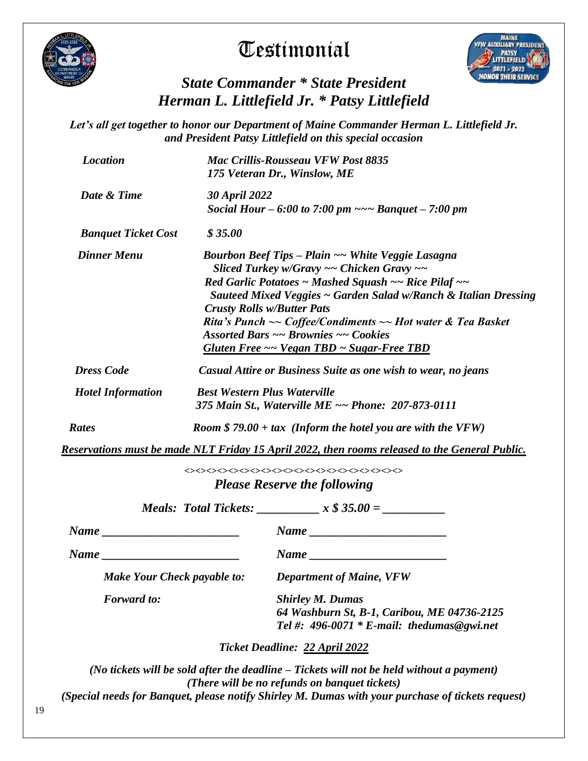

# **Testimonial**



# *State Commander \* State President Herman L. Littlefield Jr. \* Patsy Littlefield*

*Let's all get together to honor our Department of Maine Commander Herman L. Littlefield Jr. and President Patsy Littlefield on this special occasion*

|                            |                    |                                                                                           | <b>Mac Crillis-Rousseau VFW Post 8835</b><br>175 Veteran Dr., Winslow, ME                                                                                                                                                                                                                                                                                                                                                                 |  |  |  |  |  |  |  |  |  |  |
|----------------------------|--------------------|-------------------------------------------------------------------------------------------|-------------------------------------------------------------------------------------------------------------------------------------------------------------------------------------------------------------------------------------------------------------------------------------------------------------------------------------------------------------------------------------------------------------------------------------------|--|--|--|--|--|--|--|--|--|--|
| Date & Time                |                    | <b>30 April 2022</b>                                                                      | Social Hour – 6:00 to 7:00 pm $\sim$ – Banquet – 7:00 pm                                                                                                                                                                                                                                                                                                                                                                                  |  |  |  |  |  |  |  |  |  |  |
| <b>Banquet Ticket Cost</b> |                    | \$35.00                                                                                   |                                                                                                                                                                                                                                                                                                                                                                                                                                           |  |  |  |  |  |  |  |  |  |  |
| <b>Dinner Menu</b>         |                    |                                                                                           | Bourbon Beef Tips - Plain ~~ White Veggie Lasagna<br>Sliced Turkey w/Gravy $\sim$ Chicken Gravy $\sim$<br>Red Garlic Potatoes ~ Mashed Squash ~~ Rice Pilaf ~~<br>Sauteed Mixed Veggies ~ Garden Salad w/Ranch & Italian Dressing<br><b>Crusty Rolls w/Butter Pats</b><br>Rita's Punch $\sim$ Coffee/Condiments $\sim$ Hot water & Tea Basket<br><b>Assorted Bars ~~ Brownies ~~ Cookies</b><br>Gluten Free ~~ Vegan TBD ~ Sugar-Free TBD |  |  |  |  |  |  |  |  |  |  |
| <b>Dress Code</b>          |                    |                                                                                           | Casual Attire or Business Suite as one wish to wear, no jeans                                                                                                                                                                                                                                                                                                                                                                             |  |  |  |  |  |  |  |  |  |  |
| <b>Hotel Information</b>   |                    | <b>Best Western Plus Waterville</b><br>375 Main St., Waterville ME ~~ Phone: 207-873-0111 |                                                                                                                                                                                                                                                                                                                                                                                                                                           |  |  |  |  |  |  |  |  |  |  |
| Rates                      |                    |                                                                                           | Room $$79.00 + tax$ (Inform the hotel you are with the VFW)                                                                                                                                                                                                                                                                                                                                                                               |  |  |  |  |  |  |  |  |  |  |
|                            |                    |                                                                                           |                                                                                                                                                                                                                                                                                                                                                                                                                                           |  |  |  |  |  |  |  |  |  |  |
|                            |                    |                                                                                           | Reservations must be made NLT Friday 15 April 2022, then rooms released to the General Public.                                                                                                                                                                                                                                                                                                                                            |  |  |  |  |  |  |  |  |  |  |
|                            |                    |                                                                                           | 000000000000000000000                                                                                                                                                                                                                                                                                                                                                                                                                     |  |  |  |  |  |  |  |  |  |  |
|                            |                    |                                                                                           | <b>Please Reserve the following</b>                                                                                                                                                                                                                                                                                                                                                                                                       |  |  |  |  |  |  |  |  |  |  |
|                            |                    |                                                                                           | $Name \_$                                                                                                                                                                                                                                                                                                                                                                                                                                 |  |  |  |  |  |  |  |  |  |  |
|                            |                    |                                                                                           |                                                                                                                                                                                                                                                                                                                                                                                                                                           |  |  |  |  |  |  |  |  |  |  |
|                            |                    | <b>Make Your Check payable to:</b>                                                        | <b>Department of Maine, VFW</b>                                                                                                                                                                                                                                                                                                                                                                                                           |  |  |  |  |  |  |  |  |  |  |
|                            | <b>Forward</b> to: |                                                                                           | <b>Shirley M. Dumas</b><br>64 Washburn St, B-1, Caribou, ME 04736-2125<br>Tel #: $496-0071 * E$ -mail: thedumas@gwi.net                                                                                                                                                                                                                                                                                                                   |  |  |  |  |  |  |  |  |  |  |
|                            |                    |                                                                                           | Ticket Deadline: 22 April 2022                                                                                                                                                                                                                                                                                                                                                                                                            |  |  |  |  |  |  |  |  |  |  |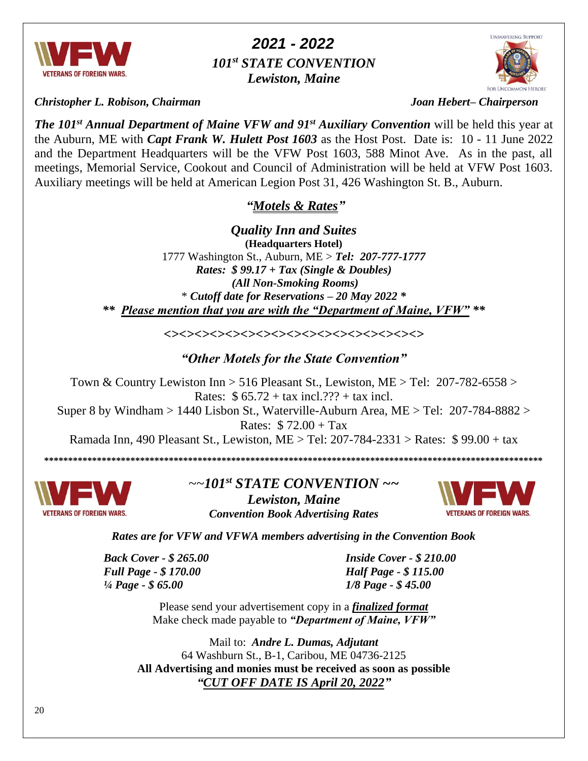

 *2021 - 2022 101st STATE CONVENTION Lewiston, Maine*

*Christopher L. Robison, Chairman Joan Hebert– Chairperson* 

*The 101st Annual Department of Maine VFW and 91st Auxiliary Convention* will be held this year at the Auburn, ME with *Capt Frank W. Hulett Post 1603* as the Host Post. Date is: 10 - 11 June 2022 and the Department Headquarters will be the VFW Post 1603, 588 Minot Ave. As in the past, all meetings, Memorial Service, Cookout and Council of Administration will be held at VFW Post 1603. Auxiliary meetings will be held at American Legion Post 31, 426 Washington St. B., Auburn.

## *"Motels & Rates"*

*Quality Inn and Suites* **(Headquarters Hotel)** 1777 Washington St., Auburn, ME > *Tel: 207-777-1777 Rates: \$ 99.17 + Tax (Single & Doubles) (All Non-Smoking Rooms)* \* *Cutoff date for Reservations – 20 May 2022 \* \*\* Please mention that you are with the "Department of Maine, VFW" \*\**

*<><><><><><><><><><><><><><><><><>*

*"Other Motels for the State Convention"*

Town & Country Lewiston Inn > 516 Pleasant St., Lewiston, ME > Tel: 207-782-6558 > Rates:  $$ 65.72 + tax incl.$ ??? + tax incl. Super 8 by Windham > 1440 Lisbon St., Waterville-Auburn Area,  $ME > Tel: 207-784-8882 >$ Rates: \$ 72.00 + Tax Ramada Inn, 490 Pleasant St., Lewiston, ME > Tel: 207-784-2331 > Rates: \$ 99.00 + tax

**\*\*\*\*\*\*\*\*\*\*\*\*\*\*\*\*\*\*\*\*\*\*\*\*\*\*\*\*\*\*\*\*\*\*\*\*\*\*\*\*\*\*\*\*\*\*\*\*\*\*\*\*\*\*\*\*\*\*\*\*\*\*\*\*\*\*\*\*\*\*\*\*\*\*\*\*\*\*\*\*\*\*\*\*\*\*\*\*\*\*\*\*\*\*\*\*\*\*\*\*\*\*\*\***



*~~101st STATE CONVENTION ~~ Lewiston, Maine Convention Book Advertising Rates*



*Rates are for VFW and VFWA members advertising in the Convention Book*

*Full Page - \$ 170.00 Half Page - \$ 115.00 ¼ Page - \$ 65.00 1/8 Page - \$ 45.00*

*Back Cover - \$ 265.00 Inside Cover - \$ 210.00*

Please send your advertisement copy in a *finalized format* Make check made payable to *"Department of Maine, VFW"*

Mail to: *Andre L. Dumas, Adjutant* 64 Washburn St., B-1, Caribou, ME 04736-2125 **All Advertising and monies must be received as soon as possible** *"CUT OFF DATE IS April 20, 2022"*

UNWAVERING SUPPORT

**FOR UNCOMMON HEROES**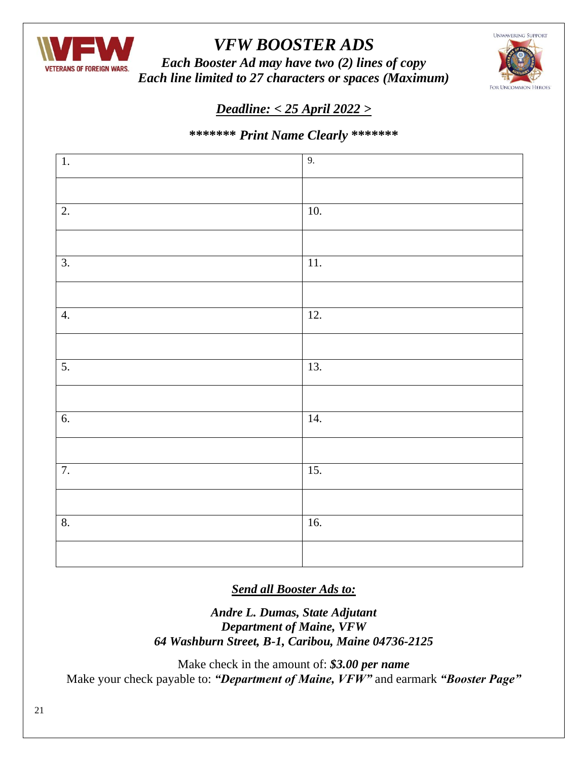

# *VFW BOOSTER ADS*

*Each Booster Ad may have two (2) lines of copy Each line limited to 27 characters or spaces (Maximum)*



## *Deadline: < 25 April 2022 >*

## **\*\*\*\*\*\*\*** *Print Name Clearly* **\*\*\*\*\*\*\***

| $\overline{1}$ . | 9.                |
|------------------|-------------------|
|                  |                   |
| $\overline{2}$ . | $\overline{10}$ . |
|                  |                   |
| $\overline{3}$ . | $\overline{11}$ . |
|                  |                   |
| 4.               | $\overline{12}$ . |
|                  |                   |
| 5.               | 13.               |
|                  |                   |
| 6.               | 14.               |
|                  |                   |
| 7.               | $\overline{15}$ . |
|                  |                   |
| 8.               | $\overline{16}$ . |
|                  |                   |

*Send all Booster Ads to:*

*Andre L. Dumas, State Adjutant Department of Maine, VFW 64 Washburn Street, B-1, Caribou, Maine 04736-2125*

Make check in the amount of: *\$3.00 per name* Make your check payable to: *"Department of Maine, VFW"* and earmark *"Booster Page"*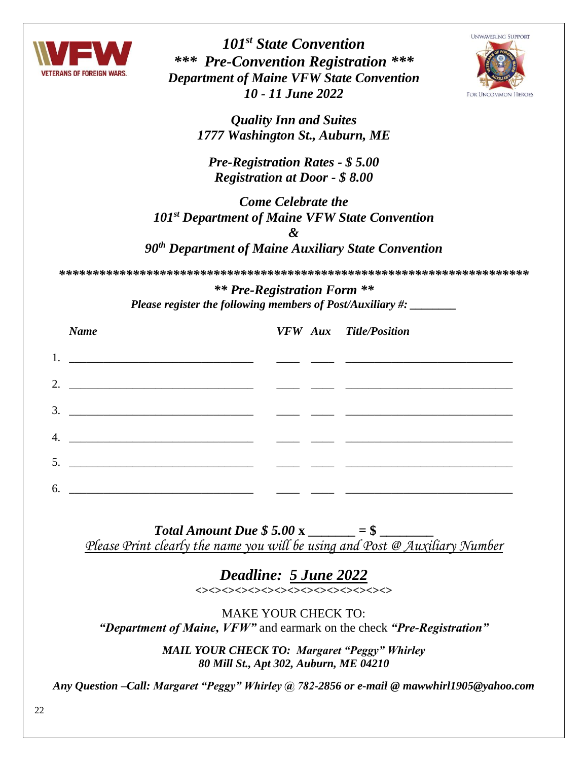

*101st State Convention \*\*\* Pre-Convention Registration \*\*\* Department of Maine VFW State Convention 10 - 11 June 2022*



*Quality Inn and Suites 1777 Washington St., Auburn, ME*

*Pre-Registration Rates - \$ 5.00 Registration at Door - \$ 8.00*

*Come Celebrate the 101st Department of Maine VFW State Convention & 90th Department of Maine Auxiliary State Convention*

*\*\*\*\*\*\*\*\*\*\*\*\*\*\*\*\*\*\*\*\*\*\*\*\*\*\*\*\*\*\*\*\*\*\*\*\*\*\*\*\*\*\*\*\*\*\*\*\*\*\*\*\*\*\*\*\*\*\*\*\*\*\*\*\*\*\*\*\*\*\**

*\*\* Pre-Registration Form \*\* Please register the following members of Post/Auxiliary #: \_\_\_\_\_\_\_\_*

| <b>Name</b>                                                                                                                                                                                                                                                                                                                                                                                                                                                              | <b>VFW</b> Aux Title/Position |
|--------------------------------------------------------------------------------------------------------------------------------------------------------------------------------------------------------------------------------------------------------------------------------------------------------------------------------------------------------------------------------------------------------------------------------------------------------------------------|-------------------------------|
|                                                                                                                                                                                                                                                                                                                                                                                                                                                                          |                               |
| 2. $\overline{\phantom{a}}$ $\overline{\phantom{a}}$ $\overline{\phantom{a}}$ $\overline{\phantom{a}}$ $\overline{\phantom{a}}$ $\overline{\phantom{a}}$ $\overline{\phantom{a}}$ $\overline{\phantom{a}}$ $\overline{\phantom{a}}$ $\overline{\phantom{a}}$ $\overline{\phantom{a}}$ $\overline{\phantom{a}}$ $\overline{\phantom{a}}$ $\overline{\phantom{a}}$ $\overline{\phantom{a}}$ $\overline{\phantom{a}}$ $\overline{\phantom{a}}$ $\overline{\phantom{a}}$ $\$ |                               |
|                                                                                                                                                                                                                                                                                                                                                                                                                                                                          |                               |
|                                                                                                                                                                                                                                                                                                                                                                                                                                                                          |                               |
| 5. $\overline{\phantom{a}}$ $\overline{\phantom{a}}$ $\overline{\phantom{a}}$ $\overline{\phantom{a}}$ $\overline{\phantom{a}}$ $\overline{\phantom{a}}$ $\overline{\phantom{a}}$ $\overline{\phantom{a}}$ $\overline{\phantom{a}}$ $\overline{\phantom{a}}$ $\overline{\phantom{a}}$ $\overline{\phantom{a}}$ $\overline{\phantom{a}}$ $\overline{\phantom{a}}$ $\overline{\phantom{a}}$ $\overline{\phantom{a}}$ $\overline{\phantom{a}}$ $\overline{\phantom{a}}$ $\$ |                               |
|                                                                                                                                                                                                                                                                                                                                                                                                                                                                          |                               |
|                                                                                                                                                                                                                                                                                                                                                                                                                                                                          |                               |

*Total Amount Due*  $$5.00 \text{ x}$  \_\_\_\_\_\_\_\_ = \$ *Please Print clearly the name you will be using and Post @ Auxiliary Number*

> *Deadline: 5 June 2022*  $\left\langle \right\rangle \left\langle \right\rangle \left\langle \right\rangle \left\langle \right\rangle \left\langle \right\rangle \left\langle \right\rangle \left\langle \right\rangle \left\langle \right\rangle \left\langle \right\rangle \left\langle \right\rangle \left\langle \right\rangle \left\langle \right\rangle \left\langle \right\rangle \left\langle \right\rangle \left\langle \right\rangle \left\langle \right\rangle \left\langle \right\rangle \left\langle \right\rangle \left\langle \right\rangle \left\langle \right\rangle \left\langle \right\rangle \left\langle \right\rangle \left\langle \right\rangle \left\langle \right\rangle \left\langle \right\rangle \left\langle \right\rangle \left\langle \right\rangle \left\langle$

MAKE YOUR CHECK TO: *"Department of Maine, VFW"* and earmark on the check *"Pre-Registration"*

> *MAIL YOUR CHECK TO: Margaret "Peggy" Whirley 80 Mill St., Apt 302, Auburn, ME 04210*

*Any Question –Call: Margaret "Peggy" Whirley @ 782-2856 or e-mail @ [mawwhirl1905@yahoo.com](mailto:mawwhirl1905@yahoo.com)*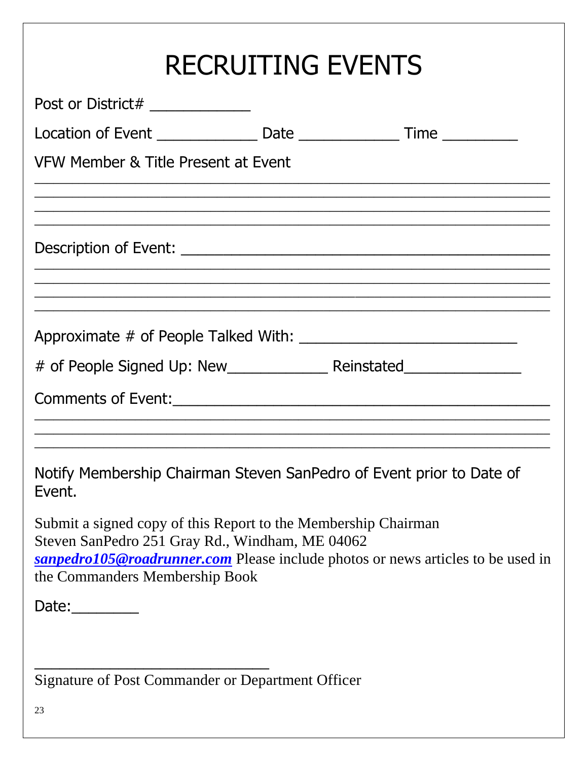| <b>RECRUITING EVENTS</b>                                                                                                                                                                                                               |
|----------------------------------------------------------------------------------------------------------------------------------------------------------------------------------------------------------------------------------------|
| Post or District# _____________                                                                                                                                                                                                        |
| Location of Event ________________________Date _________________________________                                                                                                                                                       |
| VFW Member & Title Present at Event                                                                                                                                                                                                    |
|                                                                                                                                                                                                                                        |
|                                                                                                                                                                                                                                        |
|                                                                                                                                                                                                                                        |
|                                                                                                                                                                                                                                        |
|                                                                                                                                                                                                                                        |
|                                                                                                                                                                                                                                        |
| Notify Membership Chairman Steven SanPedro of Event prior to Date of<br>Event.                                                                                                                                                         |
| Submit a signed copy of this Report to the Membership Chairman<br>Steven SanPedro 251 Gray Rd., Windham, ME 04062<br>sanpedro105@roadrunner.com Please include photos or news articles to be used in<br>the Commanders Membership Book |
| Date: $\_\_$                                                                                                                                                                                                                           |
|                                                                                                                                                                                                                                        |
| Signature of Post Commander or Department Officer                                                                                                                                                                                      |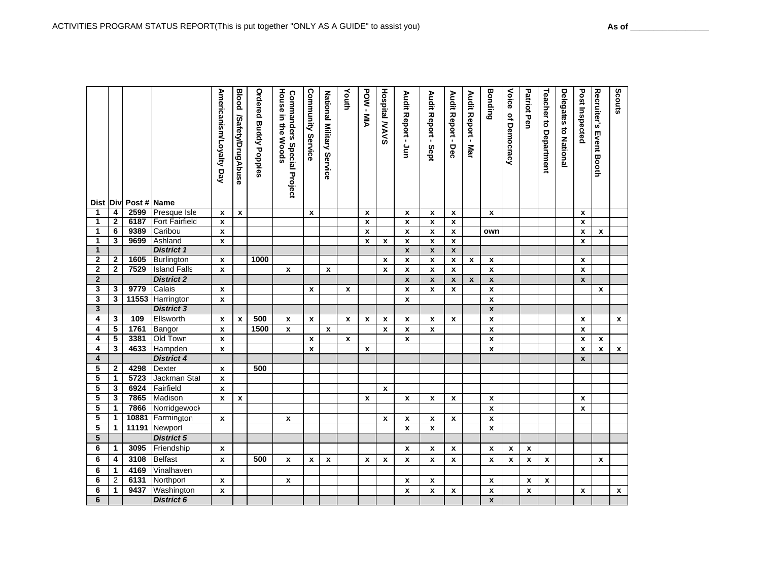|                         |              | Dist Div Post # Name |                       | Americanism/Loyalty Day | <b>Blood</b><br>/Safety/DrugAbuse | <b>Ordered Buddy Poppies</b> | <b>House in the Woods</b><br><b>Commanders Special Project</b> | Community<br><b>Service</b> | National Military Service | Youth        | POW-MIA            | <b>Hospital MAVS</b> | Audit Report - Jun | Audit Report - Sept | Audit Report - Dec | Audit Report -<br>. Mar | <b>Bonding</b>     | Voice<br>of Democracy | Patriot Pen        | Teacher to Department | <b>Delegates to National</b> | Post Inspected     | Recruiter's<br><b>Event Booth</b> | Scouts             |
|-------------------------|--------------|----------------------|-----------------------|-------------------------|-----------------------------------|------------------------------|----------------------------------------------------------------|-----------------------------|---------------------------|--------------|--------------------|----------------------|--------------------|---------------------|--------------------|-------------------------|--------------------|-----------------------|--------------------|-----------------------|------------------------------|--------------------|-----------------------------------|--------------------|
| 1                       | 4            | 2599                 | Presque Isle          | $\mathbf{x}$            | $\pmb{\mathsf{x}}$                |                              |                                                                | $\mathbf{x}$                |                           |              | $\pmb{\mathsf{x}}$ |                      | X                  | $\pmb{\chi}$        | $\pmb{\mathsf{x}}$ |                         | $\mathbf x$        |                       |                    |                       |                              | X                  |                                   |                    |
| 1                       | 2            | 6187                 | <b>Fort Fairfield</b> | X                       |                                   |                              |                                                                |                             |                           |              | $\pmb{\chi}$       |                      | $\pmb{\mathsf{x}}$ | $\pmb{\chi}$        | $\mathbf{x}$       |                         |                    |                       |                    |                       |                              | $\mathbf{x}$       |                                   |                    |
| $\mathbf{1}$            | 6            | 9389                 | Caribou               | x                       |                                   |                              |                                                                |                             |                           |              | $\mathbf{x}$       |                      | $\pmb{\mathsf{x}}$ | $\pmb{\chi}$        | X                  |                         | own                |                       |                    |                       |                              | x                  | x                                 |                    |
| 1                       | 3            | 9699                 | Ashland               | $\pmb{\mathsf{x}}$      |                                   |                              |                                                                |                             |                           |              | $\mathbf{x}$       | $\pmb{\chi}$         | $\pmb{\mathsf{x}}$ | $\pmb{\chi}$        | $\pmb{\chi}$       |                         |                    |                       |                    |                       |                              | $\mathbf{x}$       |                                   |                    |
| $\mathbf{1}$            |              |                      | <b>District 1</b>     |                         |                                   |                              |                                                                |                             |                           |              |                    |                      | $\pmb{\mathsf{x}}$ | $\pmb{\mathsf{x}}$  | $\pmb{\mathsf{x}}$ |                         |                    |                       |                    |                       |                              |                    |                                   |                    |
| $\overline{\mathbf{2}}$ | $\mathbf{2}$ | 1605                 | <b>Burlington</b>     | x                       |                                   | 1000                         |                                                                |                             |                           |              |                    | $\pmb{\mathsf{x}}$   | $\pmb{\mathsf{x}}$ | $\pmb{\chi}$        | $\pmb{\chi}$       | $\pmb{\mathsf{x}}$      | $\mathbf x$        |                       |                    |                       |                              | $\pmb{\chi}$       |                                   |                    |
| $\mathbf 2$             | $\mathbf 2$  | 7529                 | <b>Island Falls</b>   | $\pmb{\mathsf{x}}$      |                                   |                              | $\pmb{\chi}$                                                   |                             | $\mathbf{x}$              |              |                    | x                    | $\pmb{\mathsf{x}}$ | x                   | $\pmb{\mathsf{x}}$ |                         | $\pmb{\mathsf{x}}$ |                       |                    |                       |                              | $\pmb{\chi}$       |                                   |                    |
| $\overline{2}$          |              |                      | <b>District 2</b>     |                         |                                   |                              |                                                                |                             |                           |              |                    |                      | $\pmb{\mathsf{x}}$ | $\pmb{\mathsf{x}}$  | $\pmb{\mathsf{x}}$ | $\pmb{\mathsf{x}}$      | $\pmb{\mathsf{x}}$ |                       |                    |                       |                              | $\pmb{\mathsf{x}}$ |                                   |                    |
| 3                       | 3            | 9779                 | Calais                | $\pmb{\chi}$            |                                   |                              |                                                                | $\pmb{\chi}$                |                           | $\pmb{\chi}$ |                    |                      | $\pmb{\mathsf{x}}$ | x                   | $\pmb{\mathsf{x}}$ |                         | $\pmb{\mathsf{x}}$ |                       |                    |                       |                              |                    | $\pmb{\chi}$                      |                    |
| 3                       | 3            | 11553                | Harrington            | $\pmb{\mathsf{x}}$      |                                   |                              |                                                                |                             |                           |              |                    |                      | $\pmb{\mathsf{x}}$ |                     |                    |                         | $\pmb{\chi}$       |                       |                    |                       |                              |                    |                                   |                    |
| 3                       |              |                      | <b>District 3</b>     |                         |                                   |                              |                                                                |                             |                           |              |                    |                      |                    |                     |                    |                         | $\pmb{\chi}$       |                       |                    |                       |                              |                    |                                   |                    |
| 4                       | 3            | 109                  | Ellsworth             | x                       | $\pmb{\mathsf{x}}$                | 500                          | x                                                              | $\pmb{\chi}$                |                           | $\mathbf x$  | X                  | $\mathbf{x}$         | x                  | x                   | x                  |                         | $\pmb{\chi}$       |                       |                    |                       |                              | X                  |                                   | $\mathbf x$        |
| 4                       | 5            | 1761                 | Bangor                | X                       |                                   | 1500                         | $\pmb{\chi}$                                                   |                             | $\mathbf{x}$              |              |                    | $\mathbf{x}$         | x                  | X                   |                    |                         | $\pmb{\chi}$       |                       |                    |                       |                              | X                  |                                   |                    |
| 4                       | 5            | 3381                 | Old Town              | X                       |                                   |                              |                                                                | $\mathbf{x}$                |                           | $\mathbf{x}$ |                    |                      | $\mathbf{x}$       |                     |                    |                         | $\mathbf{x}$       |                       |                    |                       |                              | $\mathbf{x}$       | $\mathbf{x}$                      |                    |
| 4                       | 3            | 4633                 | Hampden               | X                       |                                   |                              |                                                                | $\mathbf{x}$                |                           |              | $\mathbf{x}$       |                      |                    |                     |                    |                         | $\mathbf{x}$       |                       |                    |                       |                              | X                  | x                                 | X                  |
| 4                       |              |                      | <b>District 4</b>     |                         |                                   |                              |                                                                |                             |                           |              |                    |                      |                    |                     |                    |                         |                    |                       |                    |                       |                              | $\pmb{\mathsf{x}}$ |                                   |                    |
| $\overline{\mathbf{5}}$ | $\mathbf{2}$ | 4298                 | Dexter                | x                       |                                   | 500                          |                                                                |                             |                           |              |                    |                      |                    |                     |                    |                         |                    |                       |                    |                       |                              |                    |                                   |                    |
| 5                       | 1            | 5723                 | Jackman Stat          | $\pmb{\mathsf{x}}$      |                                   |                              |                                                                |                             |                           |              |                    |                      |                    |                     |                    |                         |                    |                       |                    |                       |                              |                    |                                   |                    |
| 5                       | 3            | 6924                 | Fairfield             | $\pmb{\mathsf{x}}$      |                                   |                              |                                                                |                             |                           |              |                    | $\pmb{\chi}$         |                    |                     |                    |                         |                    |                       |                    |                       |                              |                    |                                   |                    |
| 5                       | 3            | 7865                 | Madison               | $\mathbf{x}$            | $\pmb{\chi}$                      |                              |                                                                |                             |                           |              | $\pmb{\chi}$       |                      | $\pmb{\mathsf{x}}$ | $\pmb{\chi}$        | $\pmb{\mathsf{x}}$ |                         | $\pmb{\chi}$       |                       |                    |                       |                              | $\pmb{\mathsf{x}}$ |                                   |                    |
| 5                       | 1            | 7866                 | Norridgewock          |                         |                                   |                              |                                                                |                             |                           |              |                    |                      |                    |                     |                    |                         | $\pmb{\chi}$       |                       |                    |                       |                              | $\pmb{\chi}$       |                                   |                    |
| 5                       | 1            | 10881                | Farmington            | x                       |                                   |                              | x                                                              |                             |                           |              |                    | $\mathbf{x}$         | x                  | x                   | $\mathbf{x}$       |                         | $\pmb{\chi}$       |                       |                    |                       |                              |                    |                                   |                    |
| 5                       | 1            | 11191                | Newport               |                         |                                   |                              |                                                                |                             |                           |              |                    |                      | $\mathbf{x}$       | $\mathbf{x}$        |                    |                         | $\mathbf{x}$       |                       |                    |                       |                              |                    |                                   |                    |
| 5                       |              |                      | <b>District 5</b>     |                         |                                   |                              |                                                                |                             |                           |              |                    |                      |                    |                     |                    |                         |                    |                       |                    |                       |                              |                    |                                   |                    |
| 6                       | $\mathbf 1$  | 3095                 | Friendship            | x                       |                                   |                              |                                                                |                             |                           |              |                    |                      | x                  | x                   | X                  |                         | X                  | $\pmb{\mathsf{x}}$    | x                  |                       |                              |                    |                                   |                    |
| 6                       | 4            | 3108                 | <b>Belfast</b>        | X                       |                                   | 500                          | $\mathbf{x}$                                                   | $\mathbf{x}$                | $\mathbf{x}$              |              | $\mathbf{x}$       | $\mathbf{x}$         | $\mathbf{x}$       | $\mathbf{x}$        | $\mathbf{x}$       |                         | $\mathbf{x}$       | $\boldsymbol{x}$      | $\pmb{\mathsf{x}}$ | $\mathbf{x}$          |                              |                    | $\mathbf{x}$                      |                    |
| 6                       | 1            | 4169                 | Vinalhaven            |                         |                                   |                              |                                                                |                             |                           |              |                    |                      |                    |                     |                    |                         |                    |                       |                    |                       |                              |                    |                                   |                    |
| 6                       | 2            | 6131                 | Northport             | x                       |                                   |                              | $\mathbf x$                                                    |                             |                           |              |                    |                      | x                  | x                   |                    |                         | X                  |                       | x                  | X                     |                              |                    |                                   |                    |
| 6                       | 1            | 9437                 | Washington            | $\pmb{\chi}$            |                                   |                              |                                                                |                             |                           |              |                    |                      | $\pmb{\mathsf{x}}$ | x                   | x                  |                         | $\pmb{\mathsf{x}}$ |                       | $\pmb{\mathsf{x}}$ |                       |                              | X                  |                                   | $\pmb{\mathsf{x}}$ |
| $6\overline{6}$         |              |                      | <b>District 6</b>     |                         |                                   |                              |                                                                |                             |                           |              |                    |                      |                    |                     |                    |                         | $\pmb{\chi}$       |                       |                    |                       |                              |                    |                                   |                    |
|                         |              |                      |                       |                         |                                   |                              |                                                                |                             |                           |              |                    |                      |                    |                     |                    |                         |                    |                       |                    |                       |                              |                    |                                   |                    |